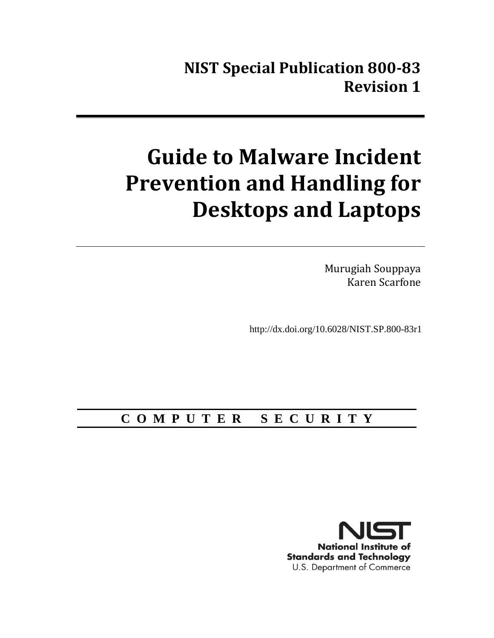# **Guide to Malware Incident Prevention and Handling for Desktops and Laptops**

Murugiah Souppaya Karen Scarfone

http://dx.doi.org/10.6028/NIST.SP.800-83r1

# **C O M P U T E R S E C U R I T Y**

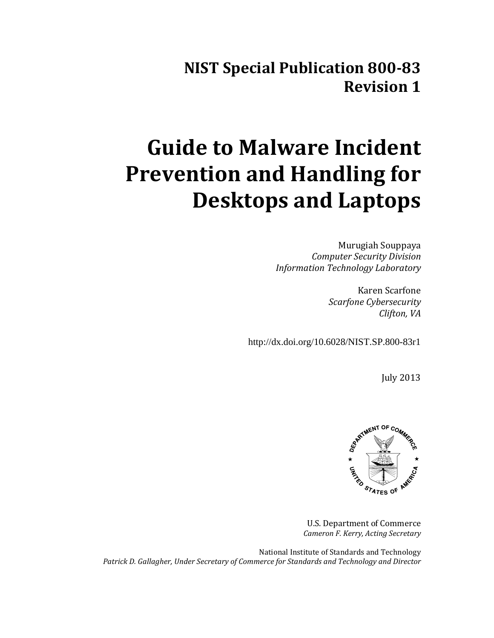# **NIST Special Publication 800-83 Revision 1**

# **Guide to Malware Incident Prevention and Handling for Desktops and Laptops**

Murugiah Souppaya *Computer Security Division Information Technology Laboratory*

> Karen Scarfone *Scarfone Cybersecurity Clifton, VA*

http://dx.doi.org/10.6028/NIST.SP.800-83r1

July 2013



U.S. Department of Commerce *Cameron F. Kerry, Acting Secretary*

National Institute of Standards and Technology *Patrick D. Gallagher, Under Secretary of Commerce for Standards and Technology and Director*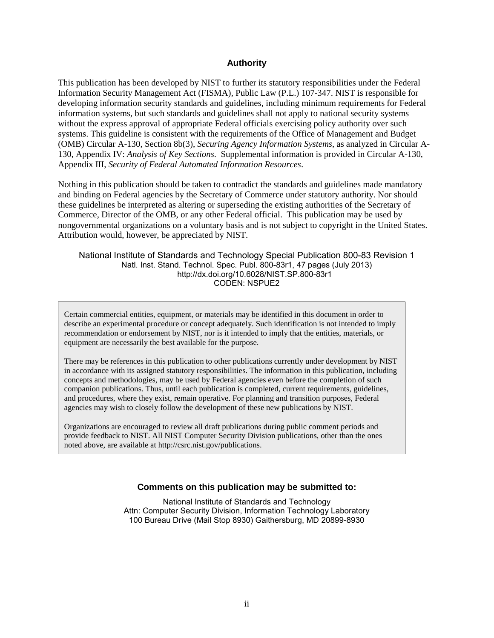#### **Authority**

This publication has been developed by NIST to further its statutory responsibilities under the Federal Information Security Management Act (FISMA), Public Law (P.L.) 107-347. NIST is responsible for developing information security standards and guidelines, including minimum requirements for Federal information systems, but such standards and guidelines shall not apply to national security systems without the express approval of appropriate Federal officials exercising policy authority over such systems. This guideline is consistent with the requirements of the Office of Management and Budget (OMB) Circular A-130, Section 8b(3), *Securing Agency Information Systems*, as analyzed in Circular A-130, Appendix IV: *Analysis of Key Sections*. Supplemental information is provided in Circular A-130, Appendix III, *Security of Federal Automated Information Resources*.

Nothing in this publication should be taken to contradict the standards and guidelines made mandatory and binding on Federal agencies by the Secretary of Commerce under statutory authority. Nor should these guidelines be interpreted as altering or superseding the existing authorities of the Secretary of Commerce, Director of the OMB, or any other Federal official. This publication may be used by nongovernmental organizations on a voluntary basis and is not subject to copyright in the United States. Attribution would, however, be appreciated by NIST.

National Institute of Standards and Technology Special Publication 800-83 Revision 1 Natl. Inst. Stand. Technol. Spec. Publ. 800-83r1, 47 pages (July 2013) http://dx.doi.org/10.6028/NIST.SP.800-83r1 CODEN: NSPUE2

 Certain commercial entities, equipment, or materials may be identified in this document in order to describe an experimental procedure or concept adequately. Such identification is not intended to imply recommendation or endorsement by NIST, nor is it intended to imply that the entities, materials, or equipment are necessarily the best available for the purpose.

There may be references in this publication to other publications currently under development by NIST in accordance with its assigned statutory responsibilities. The information in this publication, including concepts and methodologies, may be used by Federal agencies even before the completion of such companion publications. Thus, until each publication is completed, current requirements, guidelines, and procedures, where they exist, remain operative. For planning and transition purposes, Federal agencies may wish to closely follow the development of these new publications by NIST.

Organizations are encouraged to review all draft publications during public comment periods and provide feedback to NIST. All NIST Computer Security Division publications, other than the ones noted above, are available at http://csrc.nist.gov/publications.

#### **Comments on this publication may be submitted to:**

National Institute of Standards and Technology Attn: Computer Security Division, Information Technology Laboratory 100 Bureau Drive (Mail Stop 8930) Gaithersburg, MD 20899-8930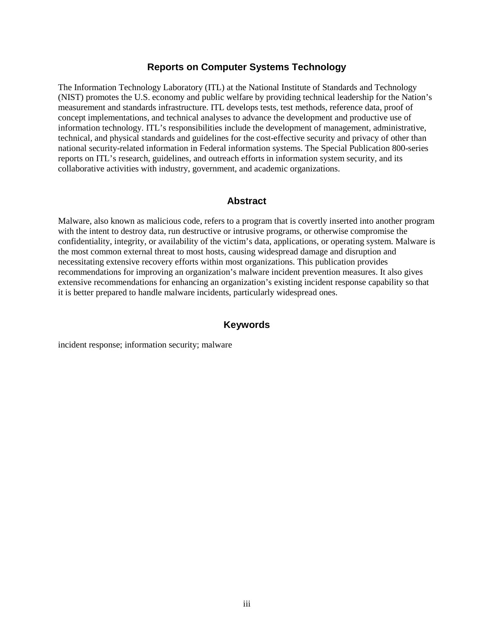#### **Reports on Computer Systems Technology**

The Information Technology Laboratory (ITL) at the National Institute of Standards and Technology (NIST) promotes the U.S. economy and public welfare by providing technical leadership for the Nation's measurement and standards infrastructure. ITL develops tests, test methods, reference data, proof of concept implementations, and technical analyses to advance the development and productive use of information technology. ITL's responsibilities include the development of management, administrative, technical, and physical standards and guidelines for the cost-effective security and privacy of other than national security-related information in Federal information systems. The Special Publication 800-series reports on ITL's research, guidelines, and outreach efforts in information system security, and its collaborative activities with industry, government, and academic organizations.

#### **Abstract**

Malware, also known as malicious code, refers to a program that is covertly inserted into another program with the intent to destroy data, run destructive or intrusive programs, or otherwise compromise the confidentiality, integrity, or availability of the victim's data, applications, or operating system. Malware is the most common external threat to most hosts, causing widespread damage and disruption and necessitating extensive recovery efforts within most organizations. This publication provides recommendations for improving an organization's malware incident prevention measures. It also gives extensive recommendations for enhancing an organization's existing incident response capability so that it is better prepared to handle malware incidents, particularly widespread ones.

#### **Keywords**

incident response; information security; malware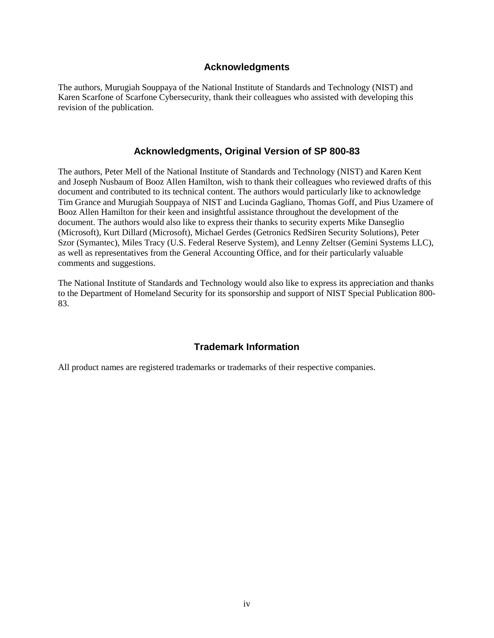#### **Acknowledgments**

The authors, Murugiah Souppaya of the National Institute of Standards and Technology (NIST) and Karen Scarfone of Scarfone Cybersecurity, thank their colleagues who assisted with developing this revision of the publication.

#### **Acknowledgments, Original Version of SP 800-83**

The authors, Peter Mell of the National Institute of Standards and Technology (NIST) and Karen Kent and Joseph Nusbaum of Booz Allen Hamilton, wish to thank their colleagues who reviewed drafts of this document and contributed to its technical content. The authors would particularly like to acknowledge Tim Grance and Murugiah Souppaya of NIST and Lucinda Gagliano, Thomas Goff, and Pius Uzamere of Booz Allen Hamilton for their keen and insightful assistance throughout the development of the document. The authors would also like to express their thanks to security experts Mike Danseglio (Microsoft), Kurt Dillard (Microsoft), Michael Gerdes (Getronics RedSiren Security Solutions), Peter Szor (Symantec), Miles Tracy (U.S. Federal Reserve System), and Lenny Zeltser (Gemini Systems LLC), as well as representatives from the General Accounting Office, and for their particularly valuable comments and suggestions.

The National Institute of Standards and Technology would also like to express its appreciation and thanks to the Department of Homeland Security for its sponsorship and support of NIST Special Publication 800- 83.

#### **Trademark Information**

All product names are registered trademarks or trademarks of their respective companies.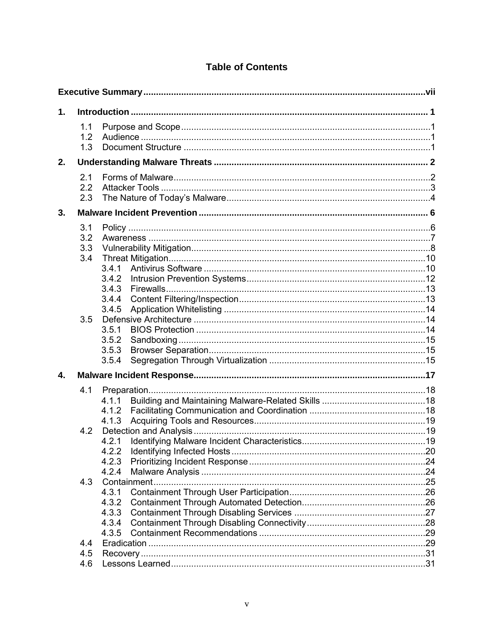| 1. |     |       |  |  |
|----|-----|-------|--|--|
|    | 1.1 |       |  |  |
|    | 1.2 |       |  |  |
|    | 1.3 |       |  |  |
| 2. |     |       |  |  |
|    | 2.1 |       |  |  |
|    | 2.2 |       |  |  |
|    | 2.3 |       |  |  |
| 3. |     |       |  |  |
|    | 3.1 |       |  |  |
|    | 3.2 |       |  |  |
|    | 3.3 |       |  |  |
|    | 3.4 |       |  |  |
|    |     | 3.4.1 |  |  |
|    |     | 3.4.2 |  |  |
|    |     | 3.4.3 |  |  |
|    |     | 3.4.4 |  |  |
|    |     | 3.4.5 |  |  |
|    | 3.5 | 3.5.1 |  |  |
|    |     | 3.5.2 |  |  |
|    |     | 3.5.3 |  |  |
|    |     | 3.5.4 |  |  |
| 4. |     |       |  |  |
|    | 4.1 |       |  |  |
|    |     | 4.1.1 |  |  |
|    |     | 4.1.2 |  |  |
|    |     | 4.1.3 |  |  |
|    | 4.2 |       |  |  |
|    |     | 4.2.1 |  |  |
|    |     | 4.2.2 |  |  |
|    |     | 4.2.3 |  |  |
|    |     | 4.2.4 |  |  |
|    | 4.3 |       |  |  |
|    |     | 4.3.1 |  |  |
|    |     | 4.3.2 |  |  |
|    |     | 4.3.3 |  |  |
|    |     | 4.3.4 |  |  |
|    | 4.4 | 4.3.5 |  |  |
|    | 4.5 |       |  |  |
|    | 4.6 |       |  |  |
|    |     |       |  |  |

## **Table of Contents**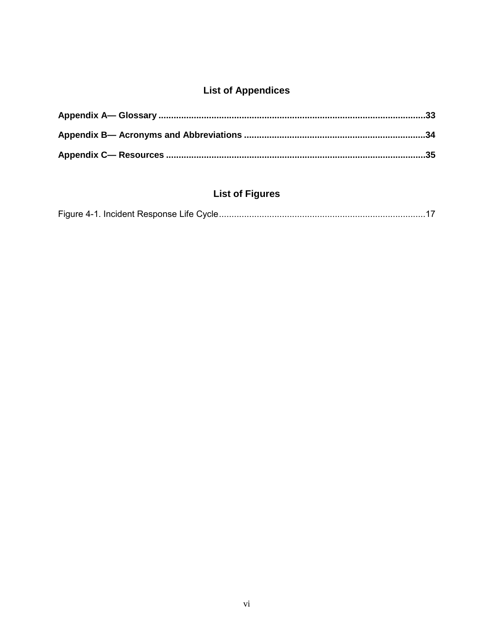# **List of Appendices**

# **List of Figures**

|--|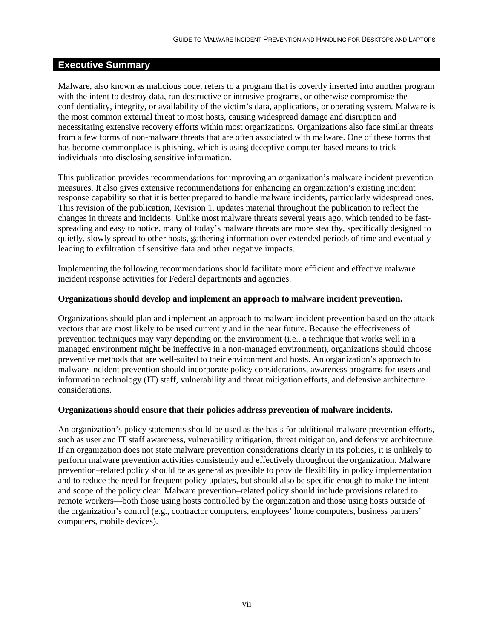#### <span id="page-7-0"></span>**Executive Summary**

Malware, also known as malicious code, refers to a program that is covertly inserted into another program with the intent to destroy data, run destructive or intrusive programs, or otherwise compromise the confidentiality, integrity, or availability of the victim's data, applications, or operating system. Malware is the most common external threat to most hosts, causing widespread damage and disruption and necessitating extensive recovery efforts within most organizations. Organizations also face similar threats from a few forms of non-malware threats that are often associated with malware. One of these forms that has become commonplace is phishing, which is using deceptive computer-based means to trick individuals into disclosing sensitive information.

This publication provides recommendations for improving an organization's malware incident prevention measures. It also gives extensive recommendations for enhancing an organization's existing incident response capability so that it is better prepared to handle malware incidents, particularly widespread ones. This revision of the publication, Revision 1, updates material throughout the publication to reflect the changes in threats and incidents. Unlike most malware threats several years ago, which tended to be fastspreading and easy to notice, many of today's malware threats are more stealthy, specifically designed to quietly, slowly spread to other hosts, gathering information over extended periods of time and eventually leading to exfiltration of sensitive data and other negative impacts.

Implementing the following recommendations should facilitate more efficient and effective malware incident response activities for Federal departments and agencies.

#### **Organizations should develop and implement an approach to malware incident prevention.**

Organizations should plan and implement an approach to malware incident prevention based on the attack vectors that are most likely to be used currently and in the near future. Because the effectiveness of prevention techniques may vary depending on the environment (i.e., a technique that works well in a managed environment might be ineffective in a non-managed environment), organizations should choose preventive methods that are well-suited to their environment and hosts. An organization's approach to malware incident prevention should incorporate policy considerations, awareness programs for users and information technology (IT) staff, vulnerability and threat mitigation efforts, and defensive architecture considerations.

#### **Organizations should ensure that their policies address prevention of malware incidents.**

An organization's policy statements should be used as the basis for additional malware prevention efforts, such as user and IT staff awareness, vulnerability mitigation, threat mitigation, and defensive architecture. If an organization does not state malware prevention considerations clearly in its policies, it is unlikely to perform malware prevention activities consistently and effectively throughout the organization. Malware prevention–related policy should be as general as possible to provide flexibility in policy implementation and to reduce the need for frequent policy updates, but should also be specific enough to make the intent and scope of the policy clear. Malware prevention–related policy should include provisions related to remote workers—both those using hosts controlled by the organization and those using hosts outside of the organization's control (e.g., contractor computers, employees' home computers, business partners' computers, mobile devices).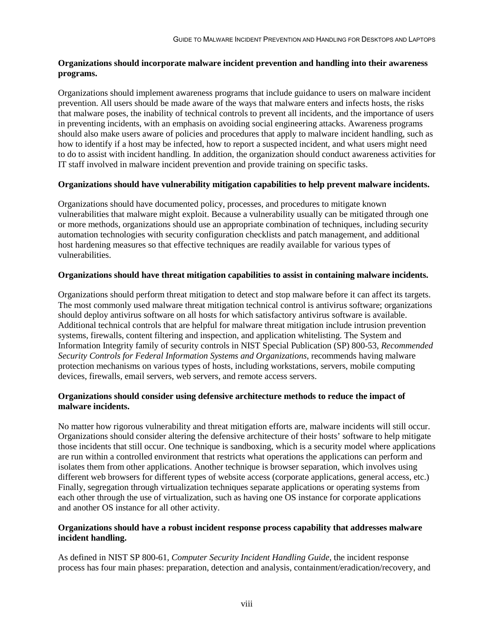#### **Organizations should incorporate malware incident prevention and handling into their awareness programs.**

Organizations should implement awareness programs that include guidance to users on malware incident prevention. All users should be made aware of the ways that malware enters and infects hosts, the risks that malware poses, the inability of technical controls to prevent all incidents, and the importance of users in preventing incidents, with an emphasis on avoiding social engineering attacks. Awareness programs should also make users aware of policies and procedures that apply to malware incident handling, such as how to identify if a host may be infected, how to report a suspected incident, and what users might need to do to assist with incident handling. In addition, the organization should conduct awareness activities for IT staff involved in malware incident prevention and provide training on specific tasks.

#### **Organizations should have vulnerability mitigation capabilities to help prevent malware incidents.**

Organizations should have documented policy, processes, and procedures to mitigate known vulnerabilities that malware might exploit. Because a vulnerability usually can be mitigated through one or more methods, organizations should use an appropriate combination of techniques, including security automation technologies with security configuration checklists and patch management, and additional host hardening measures so that effective techniques are readily available for various types of vulnerabilities.

#### **Organizations should have threat mitigation capabilities to assist in containing malware incidents.**

Organizations should perform threat mitigation to detect and stop malware before it can affect its targets. The most commonly used malware threat mitigation technical control is antivirus software; organizations should deploy antivirus software on all hosts for which satisfactory antivirus software is available. Additional technical controls that are helpful for malware threat mitigation include intrusion prevention systems, firewalls, content filtering and inspection, and application whitelisting. The System and Information Integrity family of security controls in NIST Special Publication (SP) 800-53, *Recommended Security Controls for Federal Information Systems and Organizations*, recommends having malware protection mechanisms on various types of hosts, including workstations, servers, mobile computing devices, firewalls, email servers, web servers, and remote access servers.

#### **Organizations should consider using defensive architecture methods to reduce the impact of malware incidents.**

No matter how rigorous vulnerability and threat mitigation efforts are, malware incidents will still occur. Organizations should consider altering the defensive architecture of their hosts' software to help mitigate those incidents that still occur. One technique is sandboxing, which is a security model where applications are run within a controlled environment that restricts what operations the applications can perform and isolates them from other applications. Another technique is browser separation, which involves using different web browsers for different types of website access (corporate applications, general access, etc.) Finally, segregation through virtualization techniques separate applications or operating systems from each other through the use of virtualization, such as having one OS instance for corporate applications and another OS instance for all other activity.

#### **Organizations should have a robust incident response process capability that addresses malware incident handling.**

As defined in NIST SP 800-61, *Computer Security Incident Handling Guide*, the incident response process has four main phases: preparation, detection and analysis, containment/eradication/recovery, and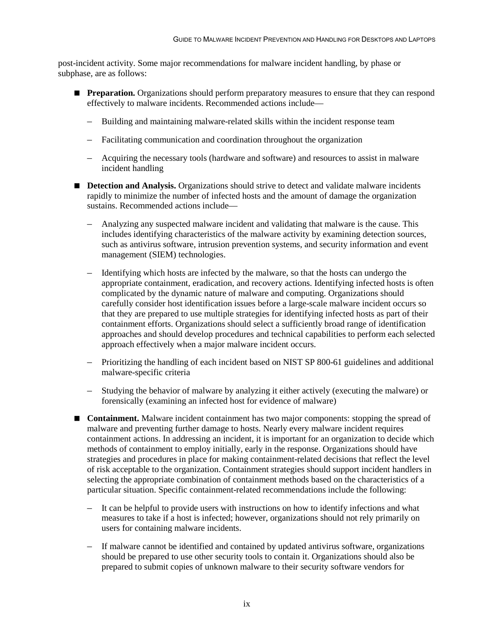post-incident activity. Some major recommendations for malware incident handling, by phase or subphase, are as follows:

- **Preparation.** Organizations should perform preparatory measures to ensure that they can respond effectively to malware incidents. Recommended actions include—
	- Building and maintaining malware-related skills within the incident response team
	- Facilitating communication and coordination throughout the organization
	- Acquiring the necessary tools (hardware and software) and resources to assist in malware incident handling
- **Detection and Analysis.** Organizations should strive to detect and validate malware incidents rapidly to minimize the number of infected hosts and the amount of damage the organization sustains. Recommended actions include—
	- Analyzing any suspected malware incident and validating that malware is the cause. This includes identifying characteristics of the malware activity by examining detection sources, such as antivirus software, intrusion prevention systems, and security information and event management (SIEM) technologies.
	- Identifying which hosts are infected by the malware, so that the hosts can undergo the appropriate containment, eradication, and recovery actions. Identifying infected hosts is often complicated by the dynamic nature of malware and computing. Organizations should carefully consider host identification issues before a large-scale malware incident occurs so that they are prepared to use multiple strategies for identifying infected hosts as part of their containment efforts. Organizations should select a sufficiently broad range of identification approaches and should develop procedures and technical capabilities to perform each selected approach effectively when a major malware incident occurs.
	- Prioritizing the handling of each incident based on NIST SP 800-61 guidelines and additional malware-specific criteria
	- Studying the behavior of malware by analyzing it either actively (executing the malware) or forensically (examining an infected host for evidence of malware)
- **Containment.** Malware incident containment has two major components: stopping the spread of malware and preventing further damage to hosts. Nearly every malware incident requires containment actions. In addressing an incident, it is important for an organization to decide which methods of containment to employ initially, early in the response. Organizations should have strategies and procedures in place for making containment-related decisions that reflect the level of risk acceptable to the organization. Containment strategies should support incident handlers in selecting the appropriate combination of containment methods based on the characteristics of a particular situation. Specific containment-related recommendations include the following:
	- It can be helpful to provide users with instructions on how to identify infections and what measures to take if a host is infected; however, organizations should not rely primarily on users for containing malware incidents.
	- If malware cannot be identified and contained by updated antivirus software, organizations should be prepared to use other security tools to contain it. Organizations should also be prepared to submit copies of unknown malware to their security software vendors for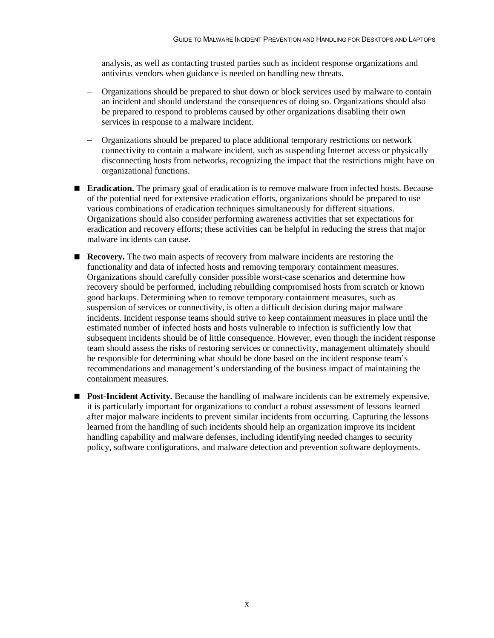analysis, as well as contacting trusted parties such as incident response organizations and antivirus vendors when guidance is needed on handling new threats.

- Organizations should be prepared to shut down or block services used by malware to contain an incident and should understand the consequences of doing so. Organizations should also be prepared to respond to problems caused by other organizations disabling their own services in response to a malware incident.
- Organizations should be prepared to place additional temporary restrictions on network connectivity to contain a malware incident, such as suspending Internet access or physically disconnecting hosts from networks, recognizing the impact that the restrictions might have on organizational functions.
- **Eradication.** The primary goal of eradication is to remove malware from infected hosts. Because of the potential need for extensive eradication efforts, organizations should be prepared to use various combinations of eradication techniques simultaneously for different situations. Organizations should also consider performing awareness activities that set expectations for eradication and recovery efforts; these activities can be helpful in reducing the stress that major malware incidents can cause.
- **Recovery.** The two main aspects of recovery from malware incidents are restoring the functionality and data of infected hosts and removing temporary containment measures. Organizations should carefully consider possible worst-case scenarios and determine how recovery should be performed, including rebuilding compromised hosts from scratch or known good backups. Determining when to remove temporary containment measures, such as suspension of services or connectivity, is often a difficult decision during major malware incidents. Incident response teams should strive to keep containment measures in place until the estimated number of infected hosts and hosts vulnerable to infection is sufficiently low that subsequent incidents should be of little consequence. However, even though the incident response team should assess the risks of restoring services or connectivity, management ultimately should be responsible for determining what should be done based on the incident response team's recommendations and management's understanding of the business impact of maintaining the containment measures.
- **Post-Incident Activity.** Because the handling of malware incidents can be extremely expensive, it is particularly important for organizations to conduct a robust assessment of lessons learned after major malware incidents to prevent similar incidents from occurring. Capturing the lessons learned from the handling of such incidents should help an organization improve its incident handling capability and malware defenses, including identifying needed changes to security policy, software configurations, and malware detection and prevention software deployments.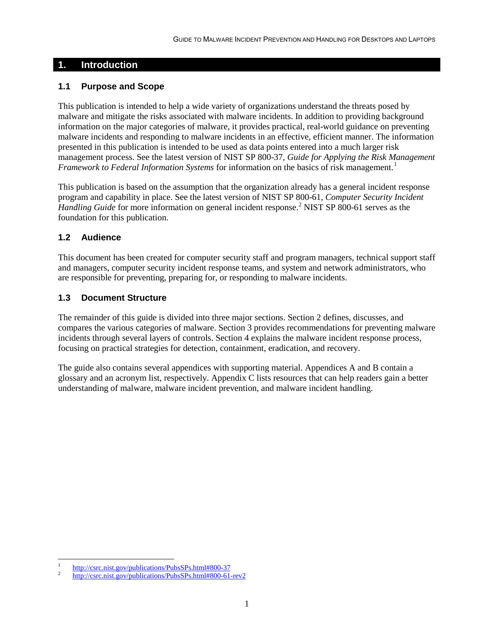#### <span id="page-11-0"></span>**1. Introduction**

#### <span id="page-11-1"></span>**1.1 Purpose and Scope**

This publication is intended to help a wide variety of organizations understand the threats posed by malware and mitigate the risks associated with malware incidents. In addition to providing background information on the major categories of malware, it provides practical, real-world guidance on preventing malware incidents and responding to malware incidents in an effective, efficient manner. The information presented in this publication is intended to be used as data points entered into a much larger risk management process. See the latest version of NIST SP 800-37, *Guide for Applying the Risk Management Framework to Federal Information Systems* for information on the basics of risk management.<sup>[1](#page-11-4)</sup>

This publication is based on the assumption that the organization already has a general incident response program and capability in place. See the latest version of NIST SP 800-61, *Computer Security Incident Handling Guide* for more information on general incident response.<sup>[2](#page-11-5)</sup> NIST SP 800-61 serves as the foundation for this publication.

#### <span id="page-11-2"></span>**1.2 Audience**

This document has been created for computer security staff and program managers, technical support staff and managers, computer security incident response teams, and system and network administrators, who are responsible for preventing, preparing for, or responding to malware incidents.

#### <span id="page-11-3"></span>**1.3 Document Structure**

The remainder of this guide is divided into three major sections. Section 2 defines, discusses, and compares the various categories of malware. Section 3 provides recommendations for preventing malware incidents through several layers of controls. Section 4 explains the malware incident response process, focusing on practical strategies for detection, containment, eradication, and recovery.

The guide also contains several appendices with supporting material. Appendices A and B contain a glossary and an acronym list, respectively. Appendix C lists resources that can help readers gain a better understanding of malware, malware incident prevention, and malware incident handling.

<span id="page-11-4"></span> $\overline{a}$ 1 <http://csrc.nist.gov/publications/PubsSPs.html#800-37>2

<span id="page-11-5"></span><http://csrc.nist.gov/publications/PubsSPs.html#800-61-rev2>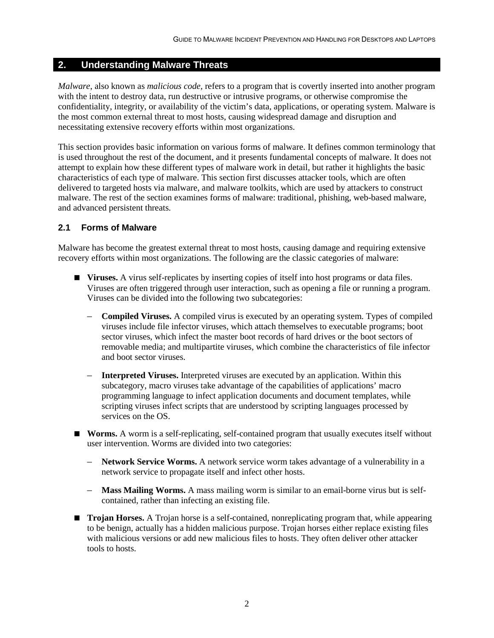#### <span id="page-12-0"></span>**2. Understanding Malware Threats**

*Malware*, also known as *malicious code,* refers to a program that is covertly inserted into another program with the intent to destroy data, run destructive or intrusive programs, or otherwise compromise the confidentiality, integrity, or availability of the victim's data, applications, or operating system. Malware is the most common external threat to most hosts, causing widespread damage and disruption and necessitating extensive recovery efforts within most organizations.

This section provides basic information on various forms of malware. It defines common terminology that is used throughout the rest of the document, and it presents fundamental concepts of malware. It does not attempt to explain how these different types of malware work in detail, but rather it highlights the basic characteristics of each type of malware. This section first discusses attacker tools, which are often delivered to targeted hosts via malware, and malware toolkits, which are used by attackers to construct malware. The rest of the section examines forms of malware: traditional, phishing, web-based malware, and advanced persistent threats.

#### <span id="page-12-1"></span>**2.1 Forms of Malware**

Malware has become the greatest external threat to most hosts, causing damage and requiring extensive recovery efforts within most organizations. The following are the classic categories of malware:

- **Viruses.** A virus self-replicates by inserting copies of itself into host programs or data files. Viruses are often triggered through user interaction, such as opening a file or running a program. Viruses can be divided into the following two subcategories:
	- **Compiled Viruses.** A compiled virus is executed by an operating system. Types of compiled viruses include file infector viruses, which attach themselves to executable programs; boot sector viruses, which infect the master boot records of hard drives or the boot sectors of removable media; and multipartite viruses, which combine the characteristics of file infector and boot sector viruses.
	- **Interpreted Viruses.** Interpreted viruses are executed by an application. Within this subcategory, macro viruses take advantage of the capabilities of applications' macro programming language to infect application documents and document templates, while scripting viruses infect scripts that are understood by scripting languages processed by services on the OS.
- **Worms.** A worm is a self-replicating, self-contained program that usually executes itself without user intervention. Worms are divided into two categories:
	- **Network Service Worms.** A network service worm takes advantage of a vulnerability in a network service to propagate itself and infect other hosts.
	- **Mass Mailing Worms.** A mass mailing worm is similar to an email-borne virus but is selfcontained, rather than infecting an existing file.
- **Trojan Horses.** A Trojan horse is a self-contained, nonreplicating program that, while appearing to be benign, actually has a hidden malicious purpose. Trojan horses either replace existing files with malicious versions or add new malicious files to hosts. They often deliver other attacker tools to hosts.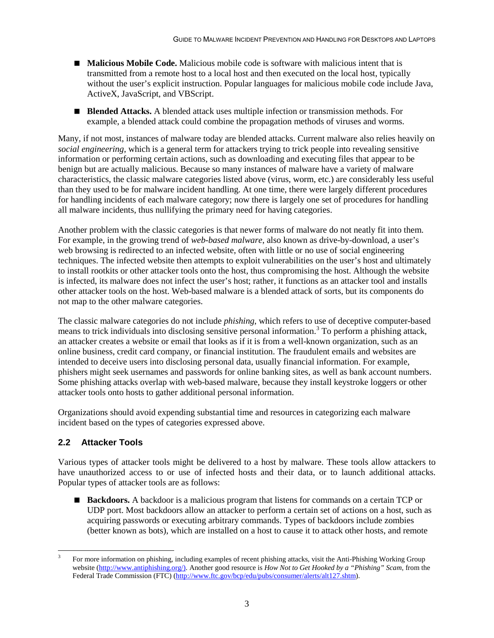- **Malicious Mobile Code.** Malicious mobile code is software with malicious intent that is transmitted from a remote host to a local host and then executed on the local host, typically without the user's explicit instruction. Popular languages for malicious mobile code include Java, ActiveX, JavaScript, and VBScript.
- **Blended Attacks.** A blended attack uses multiple infection or transmission methods. For example, a blended attack could combine the propagation methods of viruses and worms.

Many, if not most, instances of malware today are blended attacks. Current malware also relies heavily on *social engineering*, which is a general term for attackers trying to trick people into revealing sensitive information or performing certain actions, such as downloading and executing files that appear to be benign but are actually malicious. Because so many instances of malware have a variety of malware characteristics, the classic malware categories listed above (virus, worm, etc.) are considerably less useful than they used to be for malware incident handling. At one time, there were largely different procedures for handling incidents of each malware category; now there is largely one set of procedures for handling all malware incidents, thus nullifying the primary need for having categories.

Another problem with the classic categories is that newer forms of malware do not neatly fit into them. For example, in the growing trend of *web-based malware*, also known as drive-by-download, a user's web browsing is redirected to an infected website, often with little or no use of social engineering techniques. The infected website then attempts to exploit vulnerabilities on the user's host and ultimately to install rootkits or other attacker tools onto the host, thus compromising the host. Although the website is infected, its malware does not infect the user's host; rather, it functions as an attacker tool and installs other attacker tools on the host. Web-based malware is a blended attack of sorts, but its components do not map to the other malware categories.

The classic malware categories do not include *phishing*, which refers to use of deceptive computer-based means to trick individuals into disclosing sensitive personal information.[3](#page-13-1) To perform a phishing attack, an attacker creates a website or email that looks as if it is from a well-known organization, such as an online business, credit card company, or financial institution. The fraudulent emails and websites are intended to deceive users into disclosing personal data, usually financial information. For example, phishers might seek usernames and passwords for online banking sites, as well as bank account numbers. Some phishing attacks overlap with web-based malware, because they install keystroke loggers or other attacker tools onto hosts to gather additional personal information.

Organizations should avoid expending substantial time and resources in categorizing each malware incident based on the types of categories expressed above.

#### <span id="page-13-0"></span>**2.2 Attacker Tools**

Various types of attacker tools might be delivered to a host by malware. These tools allow attackers to have unauthorized access to or use of infected hosts and their data, or to launch additional attacks. Popular types of attacker tools are as follows:

**Backdoors.** A backdoor is a malicious program that listens for commands on a certain TCP or UDP port. Most backdoors allow an attacker to perform a certain set of actions on a host, such as acquiring passwords or executing arbitrary commands. Types of backdoors include zombies (better known as bots), which are installed on a host to cause it to attack other hosts, and remote

<span id="page-13-1"></span> $\overline{a}$ 3 For more information on phishing, including examples of recent phishing attacks, visit the Anti-Phishing Working Group website [\(http://www.antiphishing.org/\)](http://www.antiphishing.org/). Another good resource is *How Not to Get Hooked by a "Phishing" Scam*, from the Federal Trade Commission (FTC) [\(http://www.ftc.gov/bcp/edu/pubs/consumer/alerts/alt127.shtm\)](http://www.ftc.gov/bcp/edu/pubs/consumer/alerts/alt127.shtm).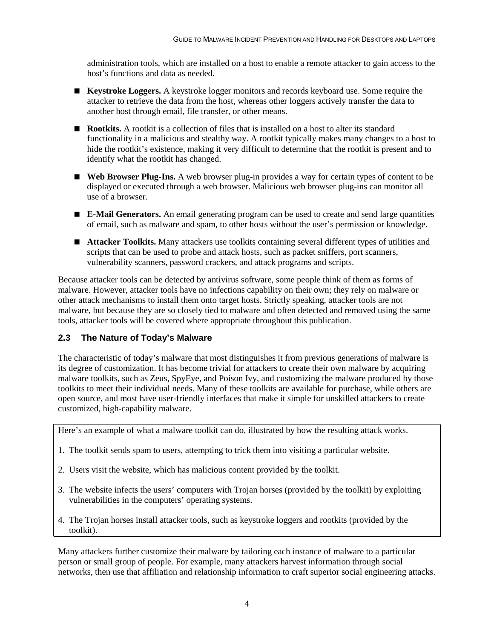administration tools, which are installed on a host to enable a remote attacker to gain access to the host's functions and data as needed.

- **Keystroke Loggers.** A keystroke logger monitors and records keyboard use. Some require the attacker to retrieve the data from the host, whereas other loggers actively transfer the data to another host through email, file transfer, or other means.
- **Rootkits.** A rootkit is a collection of files that is installed on a host to alter its standard functionality in a malicious and stealthy way. A rootkit typically makes many changes to a host to hide the rootkit's existence, making it very difficult to determine that the rootkit is present and to identify what the rootkit has changed.
- Web Browser Plug-Ins. A web browser plug-in provides a way for certain types of content to be displayed or executed through a web browser. Malicious web browser plug-ins can monitor all use of a browser.
- **E-Mail Generators.** An email generating program can be used to create and send large quantities of email, such as malware and spam, to other hosts without the user's permission or knowledge.
- **Attacker Toolkits.** Many attackers use toolkits containing several different types of utilities and scripts that can be used to probe and attack hosts, such as packet sniffers, port scanners, vulnerability scanners, password crackers, and attack programs and scripts.

Because attacker tools can be detected by antivirus software, some people think of them as forms of malware. However, attacker tools have no infections capability on their own; they rely on malware or other attack mechanisms to install them onto target hosts. Strictly speaking, attacker tools are not malware, but because they are so closely tied to malware and often detected and removed using the same tools, attacker tools will be covered where appropriate throughout this publication.

#### <span id="page-14-0"></span>**2.3 The Nature of Today's Malware**

The characteristic of today's malware that most distinguishes it from previous generations of malware is its degree of customization. It has become trivial for attackers to create their own malware by acquiring malware toolkits, such as Zeus, SpyEye, and Poison Ivy, and customizing the malware produced by those toolkits to meet their individual needs. Many of these toolkits are available for purchase, while others are open source, and most have user-friendly interfaces that make it simple for unskilled attackers to create customized, high-capability malware.

Here's an example of what a malware toolkit can do, illustrated by how the resulting attack works.

- 1. The toolkit sends spam to users, attempting to trick them into visiting a particular website.
- 2. Users visit the website, which has malicious content provided by the toolkit.
- 3. The website infects the users' computers with Trojan horses (provided by the toolkit) by exploiting vulnerabilities in the computers' operating systems.
- 4. The Trojan horses install attacker tools, such as keystroke loggers and rootkits (provided by the toolkit).

Many attackers further customize their malware by tailoring each instance of malware to a particular person or small group of people. For example, many attackers harvest information through social networks, then use that affiliation and relationship information to craft superior social engineering attacks.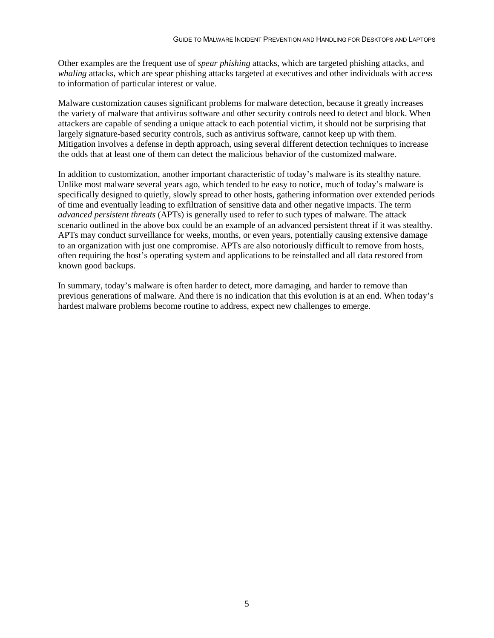Other examples are the frequent use of *spear phishing* attacks, which are targeted phishing attacks, and *whaling* attacks, which are spear phishing attacks targeted at executives and other individuals with access to information of particular interest or value.

Malware customization causes significant problems for malware detection, because it greatly increases the variety of malware that antivirus software and other security controls need to detect and block. When attackers are capable of sending a unique attack to each potential victim, it should not be surprising that largely signature-based security controls, such as antivirus software, cannot keep up with them. Mitigation involves a defense in depth approach, using several different detection techniques to increase the odds that at least one of them can detect the malicious behavior of the customized malware.

In addition to customization, another important characteristic of today's malware is its stealthy nature. Unlike most malware several years ago, which tended to be easy to notice, much of today's malware is specifically designed to quietly, slowly spread to other hosts, gathering information over extended periods of time and eventually leading to exfiltration of sensitive data and other negative impacts. The term *advanced persistent threats* (APTs) is generally used to refer to such types of malware. The attack scenario outlined in the above box could be an example of an advanced persistent threat if it was stealthy. APTs may conduct surveillance for weeks, months, or even years, potentially causing extensive damage to an organization with just one compromise. APTs are also notoriously difficult to remove from hosts, often requiring the host's operating system and applications to be reinstalled and all data restored from known good backups.

In summary, today's malware is often harder to detect, more damaging, and harder to remove than previous generations of malware. And there is no indication that this evolution is at an end. When today's hardest malware problems become routine to address, expect new challenges to emerge.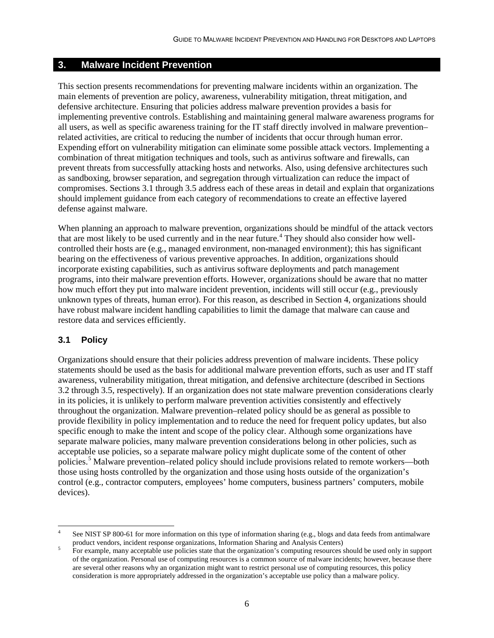#### <span id="page-16-0"></span>**3. Malware Incident Prevention**

This section presents recommendations for preventing malware incidents within an organization. The main elements of prevention are policy, awareness, vulnerability mitigation, threat mitigation, and defensive architecture. Ensuring that policies address malware prevention provides a basis for implementing preventive controls. Establishing and maintaining general malware awareness programs for all users, as well as specific awareness training for the IT staff directly involved in malware prevention– related activities, are critical to reducing the number of incidents that occur through human error. Expending effort on vulnerability mitigation can eliminate some possible attack vectors. Implementing a combination of threat mitigation techniques and tools, such as antivirus software and firewalls, can prevent threats from successfully attacking hosts and networks. Also, using defensive architectures such as sandboxing, browser separation, and segregation through virtualization can reduce the impact of compromises. Sections 3.1 through 3.5 address each of these areas in detail and explain that organizations should implement guidance from each category of recommendations to create an effective layered defense against malware.

When planning an approach to malware prevention, organizations should be mindful of the attack vectors that are most likely to be used currently and in the near future.<sup>[4](#page-16-2)</sup> They should also consider how wellcontrolled their hosts are (e.g., managed environment, non-managed environment); this has significant bearing on the effectiveness of various preventive approaches. In addition, organizations should incorporate existing capabilities, such as antivirus software deployments and patch management programs, into their malware prevention efforts. However, organizations should be aware that no matter how much effort they put into malware incident prevention, incidents will still occur (e.g., previously unknown types of threats, human error). For this reason, as described in Section 4, organizations should have robust malware incident handling capabilities to limit the damage that malware can cause and restore data and services efficiently.

#### <span id="page-16-1"></span>**3.1 Policy**

 $\overline{a}$ 

Organizations should ensure that their policies address prevention of malware incidents. These policy statements should be used as the basis for additional malware prevention efforts, such as user and IT staff awareness, vulnerability mitigation, threat mitigation, and defensive architecture (described in Sections 3.2 through 3.5, respectively). If an organization does not state malware prevention considerations clearly in its policies, it is unlikely to perform malware prevention activities consistently and effectively throughout the organization. Malware prevention–related policy should be as general as possible to provide flexibility in policy implementation and to reduce the need for frequent policy updates, but also specific enough to make the intent and scope of the policy clear. Although some organizations have separate malware policies, many malware prevention considerations belong in other policies, such as acceptable use policies, so a separate malware policy might duplicate some of the content of other policies.[5](#page-16-3) Malware prevention–related policy should include provisions related to remote workers—both those using hosts controlled by the organization and those using hosts outside of the organization's control (e.g., contractor computers, employees' home computers, business partners' computers, mobile devices).

<span id="page-16-2"></span><sup>4</sup> See NIST SP 800-61 for more information on this type of information sharing (e.g., blogs and data feeds from antimalware product vendors, incident response organizations, Information Sharing and Analysis Centers) <sup>5</sup>

<span id="page-16-3"></span>For example, many acceptable use policies state that the organization's computing resources should be used only in support of the organization. Personal use of computing resources is a common source of malware incidents; however, because there are several other reasons why an organization might want to restrict personal use of computing resources, this policy consideration is more appropriately addressed in the organization's acceptable use policy than a malware policy.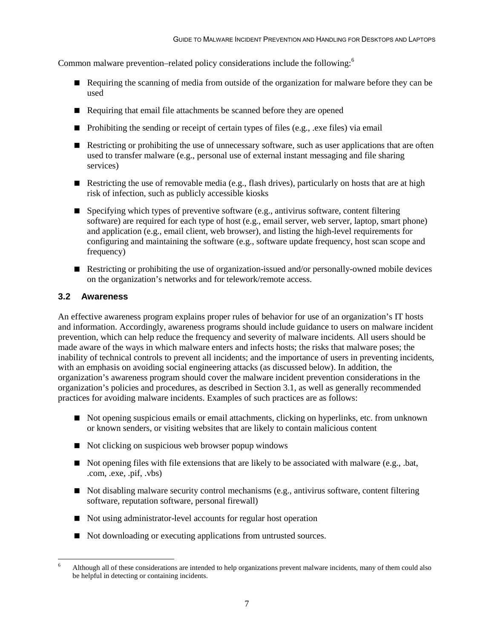Common malware prevention–related policy considerations include the following:<sup>[6](#page-17-1)</sup>

- Requiring the scanning of media from outside of the organization for malware before they can be used
- Requiring that email file attachments be scanned before they are opened
- $\blacksquare$  Prohibiting the sending or receipt of certain types of files (e.g., .exe files) via email
- Restricting or prohibiting the use of unnecessary software, such as user applications that are often used to transfer malware (e.g., personal use of external instant messaging and file sharing services)
- Restricting the use of removable media (e.g., flash drives), particularly on hosts that are at high risk of infection, such as publicly accessible kiosks
- Specifying which types of preventive software (e.g., antivirus software, content filtering software) are required for each type of host (e.g., email server, web server, laptop, smart phone) and application (e.g., email client, web browser), and listing the high-level requirements for configuring and maintaining the software (e.g., software update frequency, host scan scope and frequency)
- Restricting or prohibiting the use of organization-issued and/or personally-owned mobile devices on the organization's networks and for telework/remote access.

#### <span id="page-17-0"></span>**3.2 Awareness**

 $\overline{a}$ 

An effective awareness program explains proper rules of behavior for use of an organization's IT hosts and information. Accordingly, awareness programs should include guidance to users on malware incident prevention, which can help reduce the frequency and severity of malware incidents. All users should be made aware of the ways in which malware enters and infects hosts; the risks that malware poses; the inability of technical controls to prevent all incidents; and the importance of users in preventing incidents, with an emphasis on avoiding social engineering attacks (as discussed below). In addition, the organization's awareness program should cover the malware incident prevention considerations in the organization's policies and procedures, as described in Section 3.1, as well as generally recommended practices for avoiding malware incidents. Examples of such practices are as follows:

- Not opening suspicious emails or email attachments, clicking on hyperlinks, etc. from unknown or known senders, or visiting websites that are likely to contain malicious content
- $\blacksquare$  Not clicking on suspicious web browser popup windows
- $\blacksquare$  Not opening files with file extensions that are likely to be associated with malware (e.g., .bat, .com, .exe, .pif, .vbs)
- $\blacksquare$  Not disabling malware security control mechanisms (e.g., antivirus software, content filtering software, reputation software, personal firewall)
- Not using administrator-level accounts for regular host operation
- Not downloading or executing applications from untrusted sources.

<span id="page-17-1"></span><sup>6</sup> Although all of these considerations are intended to help organizations prevent malware incidents, many of them could also be helpful in detecting or containing incidents.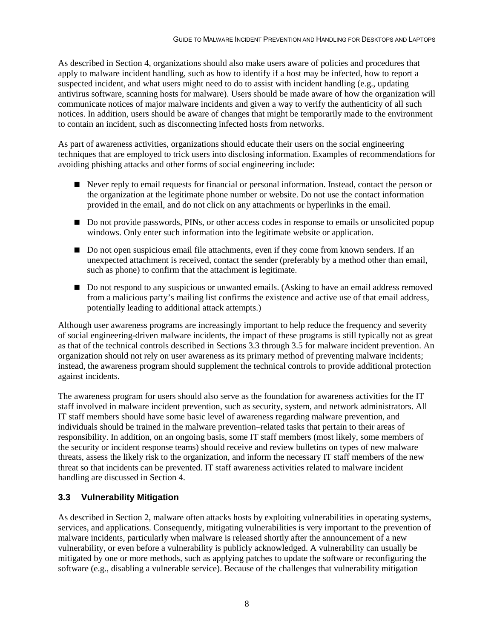As described in Section 4, organizations should also make users aware of policies and procedures that apply to malware incident handling, such as how to identify if a host may be infected, how to report a suspected incident, and what users might need to do to assist with incident handling (e.g., updating antivirus software, scanning hosts for malware). Users should be made aware of how the organization will communicate notices of major malware incidents and given a way to verify the authenticity of all such notices. In addition, users should be aware of changes that might be temporarily made to the environment to contain an incident, such as disconnecting infected hosts from networks.

As part of awareness activities, organizations should educate their users on the social engineering techniques that are employed to trick users into disclosing information. Examples of recommendations for avoiding phishing attacks and other forms of social engineering include:

- Never reply to email requests for financial or personal information. Instead, contact the person or the organization at the legitimate phone number or website. Do not use the contact information provided in the email, and do not click on any attachments or hyperlinks in the email.
- Do not provide passwords, PINs, or other access codes in response to emails or unsolicited popup windows. Only enter such information into the legitimate website or application.
- Do not open suspicious email file attachments, even if they come from known senders. If an unexpected attachment is received, contact the sender (preferably by a method other than email, such as phone) to confirm that the attachment is legitimate.
- Do not respond to any suspicious or unwanted emails. (Asking to have an email address removed from a malicious party's mailing list confirms the existence and active use of that email address, potentially leading to additional attack attempts.)

Although user awareness programs are increasingly important to help reduce the frequency and severity of social engineering-driven malware incidents, the impact of these programs is still typically not as great as that of the technical controls described in Sections 3.3 through 3.5 for malware incident prevention. An organization should not rely on user awareness as its primary method of preventing malware incidents; instead, the awareness program should supplement the technical controls to provide additional protection against incidents.

The awareness program for users should also serve as the foundation for awareness activities for the IT staff involved in malware incident prevention, such as security, system, and network administrators. All IT staff members should have some basic level of awareness regarding malware prevention, and individuals should be trained in the malware prevention–related tasks that pertain to their areas of responsibility. In addition, on an ongoing basis, some IT staff members (most likely, some members of the security or incident response teams) should receive and review bulletins on types of new malware threats, assess the likely risk to the organization, and inform the necessary IT staff members of the new threat so that incidents can be prevented. IT staff awareness activities related to malware incident handling are discussed in Section 4.

#### <span id="page-18-0"></span>**3.3 Vulnerability Mitigation**

As described in Section 2, malware often attacks hosts by exploiting vulnerabilities in operating systems, services, and applications. Consequently, mitigating vulnerabilities is very important to the prevention of malware incidents, particularly when malware is released shortly after the announcement of a new vulnerability, or even before a vulnerability is publicly acknowledged. A vulnerability can usually be mitigated by one or more methods, such as applying patches to update the software or reconfiguring the software (e.g., disabling a vulnerable service). Because of the challenges that vulnerability mitigation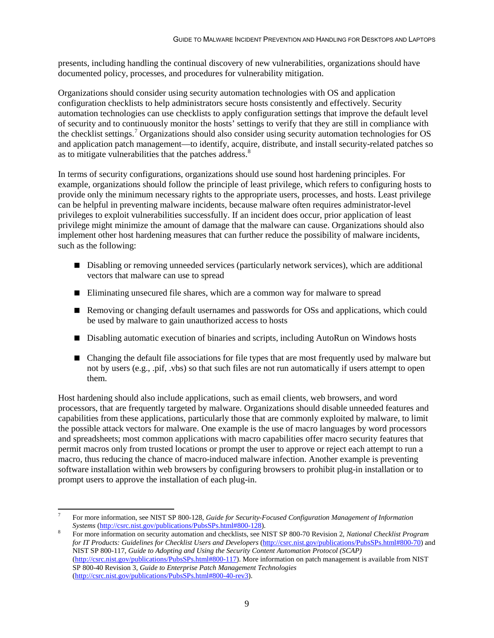presents, including handling the continual discovery of new vulnerabilities, organizations should have documented policy, processes, and procedures for vulnerability mitigation.

Organizations should consider using security automation technologies with OS and application configuration checklists to help administrators secure hosts consistently and effectively. Security automation technologies can use checklists to apply configuration settings that improve the default level of security and to continuously monitor the hosts' settings to verify that they are still in compliance with the checklist settings.<sup>[7](#page-19-0)</sup> Organizations should also consider using security automation technologies for OS and application patch management—to identify, acquire, distribute, and install security-related patches so as to mitigate vulnerabilities that the patches address.<sup>[8](#page-19-1)</sup>

In terms of security configurations, organizations should use sound host hardening principles. For example, organizations should follow the principle of least privilege, which refers to configuring hosts to provide only the minimum necessary rights to the appropriate users, processes, and hosts. Least privilege can be helpful in preventing malware incidents, because malware often requires administrator-level privileges to exploit vulnerabilities successfully. If an incident does occur, prior application of least privilege might minimize the amount of damage that the malware can cause. Organizations should also implement other host hardening measures that can further reduce the possibility of malware incidents, such as the following:

- Disabling or removing unneeded services (particularly network services), which are additional vectors that malware can use to spread
- Eliminating unsecured file shares, which are a common way for malware to spread
- **Removing or changing default usernames and passwords for OSs and applications, which could** be used by malware to gain unauthorized access to hosts
- Disabling automatic execution of binaries and scripts, including AutoRun on Windows hosts
- Changing the default file associations for file types that are most frequently used by malware but not by users (e.g., .pif, .vbs) so that such files are not run automatically if users attempt to open them.

Host hardening should also include applications, such as email clients, web browsers, and word processors, that are frequently targeted by malware. Organizations should disable unneeded features and capabilities from these applications, particularly those that are commonly exploited by malware, to limit the possible attack vectors for malware. One example is the use of macro languages by word processors and spreadsheets; most common applications with macro capabilities offer macro security features that permit macros only from trusted locations or prompt the user to approve or reject each attempt to run a macro, thus reducing the chance of macro-induced malware infection. Another example is preventing software installation within web browsers by configuring browsers to prohibit plug-in installation or to prompt users to approve the installation of each plug-in.

<span id="page-19-0"></span> $\overline{a}$ 7 For more information, see NIST SP 800-128, *Guide for Security-Focused Configuration Management of Information Systems* [\(http://csrc.nist.gov/publications/PubsSPs.html#800-128\)](http://csrc.nist.gov/publications/PubsSPs.html#800-128). 8

<span id="page-19-1"></span>For more information on security automation and checklists, see NIST SP 800-70 Revision 2, *National Checklist Program for IT Products: Guidelines for Checklist Users and Developers* [\(http://csrc.nist.gov/publications/PubsSPs.html#800-70\)](http://csrc.nist.gov/publications/PubsSPs.html#800-70) and NIST SP 800-117, *Guide to Adopting and Using the Security Content Automation Protocol (SCAP)*  [\(http://csrc.nist.gov/publications/PubsSPs.html#800-117\)](http://csrc.nist.gov/publications/PubsSPs.html#800-117). More information on patch management is available from NIST SP 800-40 Revision 3, *Guide to Enterprise Patch Management Technologies* [\(http://csrc.nist.gov/publications/PubsSPs.html#800-40-rev3\)](http://csrc.nist.gov/publications/PubsSPs.html#800-40-rev3).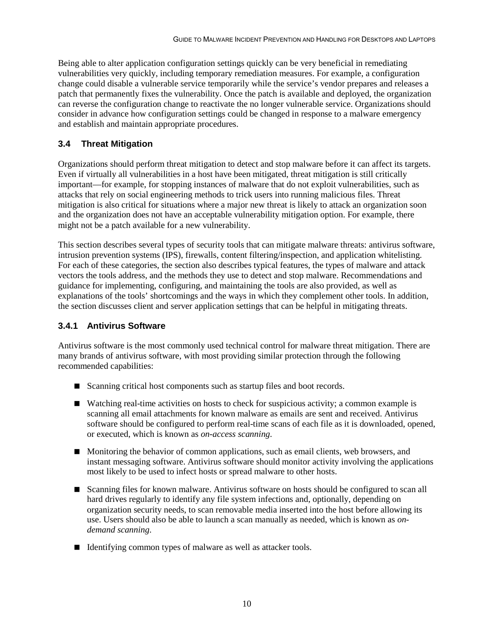Being able to alter application configuration settings quickly can be very beneficial in remediating vulnerabilities very quickly, including temporary remediation measures. For example, a configuration change could disable a vulnerable service temporarily while the service's vendor prepares and releases a patch that permanently fixes the vulnerability. Once the patch is available and deployed, the organization can reverse the configuration change to reactivate the no longer vulnerable service. Organizations should consider in advance how configuration settings could be changed in response to a malware emergency and establish and maintain appropriate procedures.

#### <span id="page-20-0"></span>**3.4 Threat Mitigation**

Organizations should perform threat mitigation to detect and stop malware before it can affect its targets. Even if virtually all vulnerabilities in a host have been mitigated, threat mitigation is still critically important—for example, for stopping instances of malware that do not exploit vulnerabilities, such as attacks that rely on social engineering methods to trick users into running malicious files. Threat mitigation is also critical for situations where a major new threat is likely to attack an organization soon and the organization does not have an acceptable vulnerability mitigation option. For example, there might not be a patch available for a new vulnerability.

This section describes several types of security tools that can mitigate malware threats: antivirus software, intrusion prevention systems (IPS), firewalls, content filtering/inspection, and application whitelisting. For each of these categories, the section also describes typical features, the types of malware and attack vectors the tools address, and the methods they use to detect and stop malware. Recommendations and guidance for implementing, configuring, and maintaining the tools are also provided, as well as explanations of the tools' shortcomings and the ways in which they complement other tools. In addition, the section discusses client and server application settings that can be helpful in mitigating threats.

#### <span id="page-20-1"></span>**3.4.1 Antivirus Software**

Antivirus software is the most commonly used technical control for malware threat mitigation. There are many brands of antivirus software, with most providing similar protection through the following recommended capabilities:

- Scanning critical host components such as startup files and boot records.
- Watching real-time activities on hosts to check for suspicious activity; a common example is scanning all email attachments for known malware as emails are sent and received. Antivirus software should be configured to perform real-time scans of each file as it is downloaded, opened, or executed, which is known as *on-access scanning*.
- Monitoring the behavior of common applications, such as email clients, web browsers, and instant messaging software. Antivirus software should monitor activity involving the applications most likely to be used to infect hosts or spread malware to other hosts.
- Scanning files for known malware. Antivirus software on hosts should be configured to scan all hard drives regularly to identify any file system infections and, optionally, depending on organization security needs, to scan removable media inserted into the host before allowing its use. Users should also be able to launch a scan manually as needed, which is known as *ondemand scanning*.
- I Identifying common types of malware as well as attacker tools.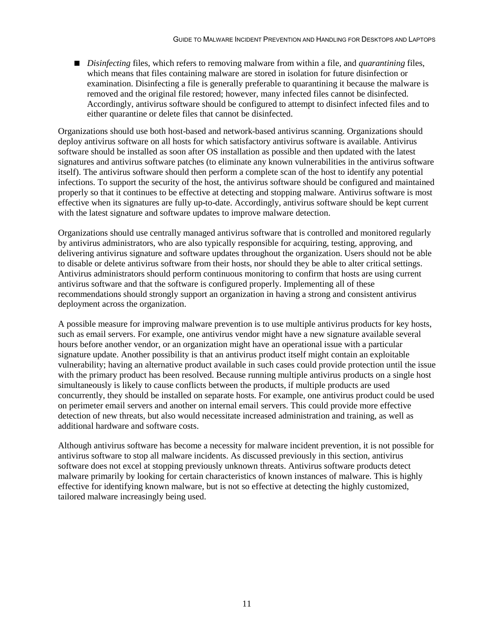*Disinfecting* files, which refers to removing malware from within a file, and *quarantining* files, which means that files containing malware are stored in isolation for future disinfection or examination. Disinfecting a file is generally preferable to quarantining it because the malware is removed and the original file restored; however, many infected files cannot be disinfected. Accordingly, antivirus software should be configured to attempt to disinfect infected files and to either quarantine or delete files that cannot be disinfected.

Organizations should use both host-based and network-based antivirus scanning. Organizations should deploy antivirus software on all hosts for which satisfactory antivirus software is available. Antivirus software should be installed as soon after OS installation as possible and then updated with the latest signatures and antivirus software patches (to eliminate any known vulnerabilities in the antivirus software itself). The antivirus software should then perform a complete scan of the host to identify any potential infections. To support the security of the host, the antivirus software should be configured and maintained properly so that it continues to be effective at detecting and stopping malware. Antivirus software is most effective when its signatures are fully up-to-date. Accordingly, antivirus software should be kept current with the latest signature and software updates to improve malware detection.

Organizations should use centrally managed antivirus software that is controlled and monitored regularly by antivirus administrators, who are also typically responsible for acquiring, testing, approving, and delivering antivirus signature and software updates throughout the organization. Users should not be able to disable or delete antivirus software from their hosts, nor should they be able to alter critical settings. Antivirus administrators should perform continuous monitoring to confirm that hosts are using current antivirus software and that the software is configured properly. Implementing all of these recommendations should strongly support an organization in having a strong and consistent antivirus deployment across the organization.

A possible measure for improving malware prevention is to use multiple antivirus products for key hosts, such as email servers. For example, one antivirus vendor might have a new signature available several hours before another vendor, or an organization might have an operational issue with a particular signature update. Another possibility is that an antivirus product itself might contain an exploitable vulnerability; having an alternative product available in such cases could provide protection until the issue with the primary product has been resolved. Because running multiple antivirus products on a single host simultaneously is likely to cause conflicts between the products, if multiple products are used concurrently, they should be installed on separate hosts. For example, one antivirus product could be used on perimeter email servers and another on internal email servers. This could provide more effective detection of new threats, but also would necessitate increased administration and training, as well as additional hardware and software costs.

Although antivirus software has become a necessity for malware incident prevention, it is not possible for antivirus software to stop all malware incidents. As discussed previously in this section, antivirus software does not excel at stopping previously unknown threats. Antivirus software products detect malware primarily by looking for certain characteristics of known instances of malware. This is highly effective for identifying known malware, but is not so effective at detecting the highly customized, tailored malware increasingly being used.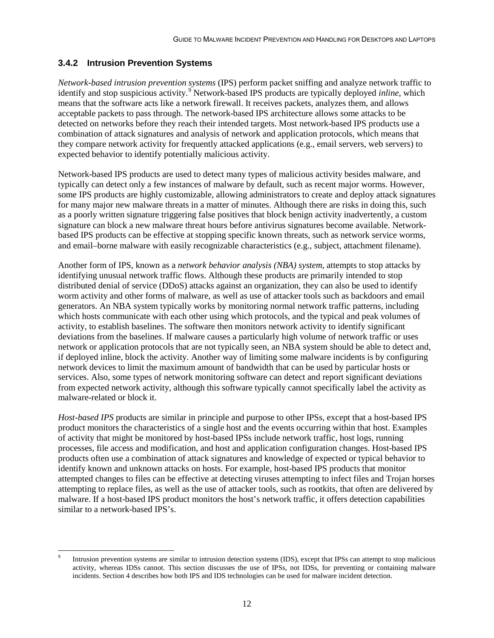#### <span id="page-22-0"></span>**3.4.2 Intrusion Prevention Systems**

*Network-based intrusion prevention systems* (IPS) perform packet sniffing and analyze network traffic to identify and stop suspicious activity.<sup>[9](#page-22-1)</sup> Network-based IPS products are typically deployed *inline*, which means that the software acts like a network firewall. It receives packets, analyzes them, and allows acceptable packets to pass through. The network-based IPS architecture allows some attacks to be detected on networks before they reach their intended targets. Most network-based IPS products use a combination of attack signatures and analysis of network and application protocols, which means that they compare network activity for frequently attacked applications (e.g., email servers, web servers) to expected behavior to identify potentially malicious activity.

Network-based IPS products are used to detect many types of malicious activity besides malware, and typically can detect only a few instances of malware by default, such as recent major worms. However, some IPS products are highly customizable, allowing administrators to create and deploy attack signatures for many major new malware threats in a matter of minutes. Although there are risks in doing this, such as a poorly written signature triggering false positives that block benign activity inadvertently, a custom signature can block a new malware threat hours before antivirus signatures become available. Networkbased IPS products can be effective at stopping specific known threats, such as network service worms, and email–borne malware with easily recognizable characteristics (e.g., subject, attachment filename).

Another form of IPS, known as a *network behavior analysis (NBA) system*, attempts to stop attacks by identifying unusual network traffic flows. Although these products are primarily intended to stop distributed denial of service (DDoS) attacks against an organization, they can also be used to identify worm activity and other forms of malware, as well as use of attacker tools such as backdoors and email generators. An NBA system typically works by monitoring normal network traffic patterns, including which hosts communicate with each other using which protocols, and the typical and peak volumes of activity, to establish baselines. The software then monitors network activity to identify significant deviations from the baselines. If malware causes a particularly high volume of network traffic or uses network or application protocols that are not typically seen, an NBA system should be able to detect and, if deployed inline, block the activity. Another way of limiting some malware incidents is by configuring network devices to limit the maximum amount of bandwidth that can be used by particular hosts or services. Also, some types of network monitoring software can detect and report significant deviations from expected network activity, although this software typically cannot specifically label the activity as malware-related or block it.

*Host-based IPS* products are similar in principle and purpose to other IPSs, except that a host-based IPS product monitors the characteristics of a single host and the events occurring within that host. Examples of activity that might be monitored by host-based IPSs include network traffic, host logs, running processes, file access and modification, and host and application configuration changes. Host-based IPS products often use a combination of attack signatures and knowledge of expected or typical behavior to identify known and unknown attacks on hosts. For example, host-based IPS products that monitor attempted changes to files can be effective at detecting viruses attempting to infect files and Trojan horses attempting to replace files, as well as the use of attacker tools, such as rootkits, that often are delivered by malware. If a host-based IPS product monitors the host's network traffic, it offers detection capabilities similar to a network-based IPS's.

<span id="page-22-1"></span> $\overline{a}$ 9 Intrusion prevention systems are similar to intrusion detection systems (IDS), except that IPSs can attempt to stop malicious activity, whereas IDSs cannot. This section discusses the use of IPSs, not IDSs, for preventing or containing malware incidents. Section 4 describes how both IPS and IDS technologies can be used for malware incident detection.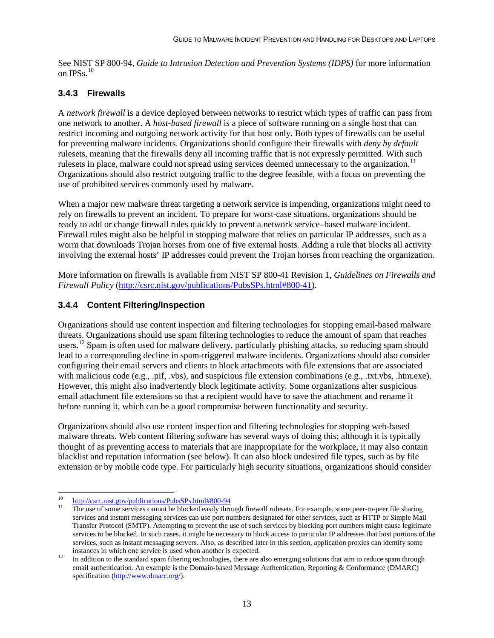See NIST SP 800-94, *Guide to Intrusion Detection and Prevention Systems (IDPS)* for more information on IPSs.<sup>[10](#page-23-2)</sup>

#### <span id="page-23-0"></span>**3.4.3 Firewalls**

A *network firewall* is a device deployed between networks to restrict which types of traffic can pass from one network to another. A *host-based firewall* is a piece of software running on a single host that can restrict incoming and outgoing network activity for that host only. Both types of firewalls can be useful for preventing malware incidents. Organizations should configure their firewalls with *deny by default* rulesets, meaning that the firewalls deny all incoming traffic that is not expressly permitted. With such rulesets in place, malware could not spread using services deemed unnecessary to the organization.<sup>[11](#page-23-3)</sup> Organizations should also restrict outgoing traffic to the degree feasible, with a focus on preventing the use of prohibited services commonly used by malware.

When a major new malware threat targeting a network service is impending, organizations might need to rely on firewalls to prevent an incident. To prepare for worst-case situations, organizations should be ready to add or change firewall rules quickly to prevent a network service–based malware incident. Firewall rules might also be helpful in stopping malware that relies on particular IP addresses, such as a worm that downloads Trojan horses from one of five external hosts. Adding a rule that blocks all activity involving the external hosts' IP addresses could prevent the Trojan horses from reaching the organization.

More information on firewalls is available from NIST SP 800-41 Revision 1, *Guidelines on Firewalls and Firewall Policy* [\(http://csrc.nist.gov/publications/PubsSPs.html#800-41\)](http://csrc.nist.gov/publications/PubsSPs.html#800-41).

#### <span id="page-23-1"></span>**3.4.4 Content Filtering/Inspection**

Organizations should use content inspection and filtering technologies for stopping email-based malware threats. Organizations should use spam filtering technologies to reduce the amount of spam that reaches users.<sup>12</sup> Spam is often used for malware delivery, particularly phishing attacks, so reducing spam should lead to a corresponding decline in spam-triggered malware incidents. Organizations should also consider configuring their email servers and clients to block attachments with file extensions that are associated with malicious code (e.g., .pif, .vbs), and suspicious file extension combinations (e.g., .txt.vbs, .htm.exe). However, this might also inadvertently block legitimate activity. Some organizations alter suspicious email attachment file extensions so that a recipient would have to save the attachment and rename it before running it, which can be a good compromise between functionality and security.

Organizations should also use content inspection and filtering technologies for stopping web-based malware threats. Web content filtering software has several ways of doing this; although it is typically thought of as preventing access to materials that are inappropriate for the workplace, it may also contain blacklist and reputation information (see below). It can also block undesired file types, such as by file extension or by mobile code type. For particularly high security situations, organizations should consider

<span id="page-23-3"></span><span id="page-23-2"></span><sup>10</sup> 

<sup>&</sup>lt;sup>10</sup> http://csrc.nist.gov/publications/PubsSPs.html#800-94<br><sup>11</sup> The use of some services cannot be blocked easily through firewall rulesets. For example, some peer-to-peer file sharing services and instant messaging services can use port numbers designated for other services, such as HTTP or Simple Mail Transfer Protocol (SMTP). Attempting to prevent the use of such services by blocking port numbers might cause legitimate services to be blocked. In such cases, it might be necessary to block access to particular IP addresses that host portions of the services, such as instant messaging servers. Also, as described later in this section, application proxies can identify some

<span id="page-23-4"></span>instances in which one service is used when another is expected.<br>In addition to the standard spam filtering technologies, there are also emerging solutions that aim to reduce spam through email authentication. An example is the Domain-based Message Authentication, Reporting & Conformance (DMARC) specification [\(http://www.dmarc.org/\)](http://www.dmarc.org/).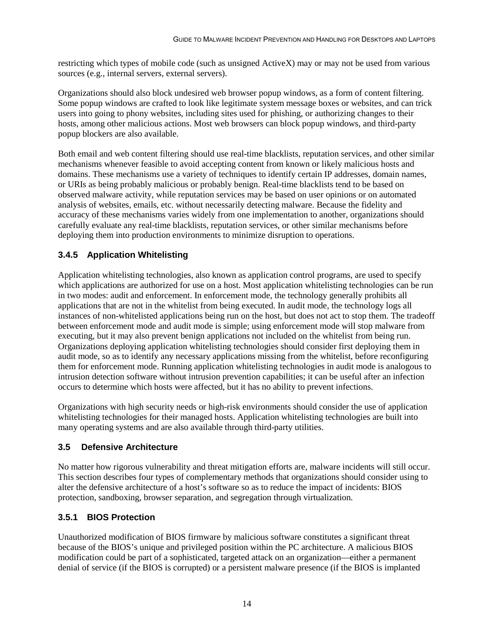restricting which types of mobile code (such as unsigned ActiveX) may or may not be used from various sources (e.g., internal servers, external servers).

Organizations should also block undesired web browser popup windows, as a form of content filtering. Some popup windows are crafted to look like legitimate system message boxes or websites, and can trick users into going to phony websites, including sites used for phishing, or authorizing changes to their hosts, among other malicious actions. Most web browsers can block popup windows, and third-party popup blockers are also available.

Both email and web content filtering should use real-time blacklists, reputation services, and other similar mechanisms whenever feasible to avoid accepting content from known or likely malicious hosts and domains. These mechanisms use a variety of techniques to identify certain IP addresses, domain names, or URIs as being probably malicious or probably benign. Real-time blacklists tend to be based on observed malware activity, while reputation services may be based on user opinions or on automated analysis of websites, emails, etc. without necessarily detecting malware. Because the fidelity and accuracy of these mechanisms varies widely from one implementation to another, organizations should carefully evaluate any real-time blacklists, reputation services, or other similar mechanisms before deploying them into production environments to minimize disruption to operations.

#### <span id="page-24-0"></span>**3.4.5 Application Whitelisting**

Application whitelisting technologies, also known as application control programs, are used to specify which applications are authorized for use on a host. Most application whitelisting technologies can be run in two modes: audit and enforcement. In enforcement mode, the technology generally prohibits all applications that are not in the whitelist from being executed. In audit mode, the technology logs all instances of non-whitelisted applications being run on the host, but does not act to stop them. The tradeoff between enforcement mode and audit mode is simple; using enforcement mode will stop malware from executing, but it may also prevent benign applications not included on the whitelist from being run. Organizations deploying application whitelisting technologies should consider first deploying them in audit mode, so as to identify any necessary applications missing from the whitelist, before reconfiguring them for enforcement mode. Running application whitelisting technologies in audit mode is analogous to intrusion detection software without intrusion prevention capabilities; it can be useful after an infection occurs to determine which hosts were affected, but it has no ability to prevent infections.

Organizations with high security needs or high-risk environments should consider the use of application whitelisting technologies for their managed hosts. Application whitelisting technologies are built into many operating systems and are also available through third-party utilities.

#### <span id="page-24-1"></span>**3.5 Defensive Architecture**

No matter how rigorous vulnerability and threat mitigation efforts are, malware incidents will still occur. This section describes four types of complementary methods that organizations should consider using to alter the defensive architecture of a host's software so as to reduce the impact of incidents: BIOS protection, sandboxing, browser separation, and segregation through virtualization.

#### <span id="page-24-2"></span>**3.5.1 BIOS Protection**

Unauthorized modification of BIOS firmware by malicious software constitutes a significant threat because of the BIOS's unique and privileged position within the PC architecture. A malicious BIOS modification could be part of a sophisticated, targeted attack on an organization—either a permanent denial of service (if the BIOS is corrupted) or a persistent malware presence (if the BIOS is implanted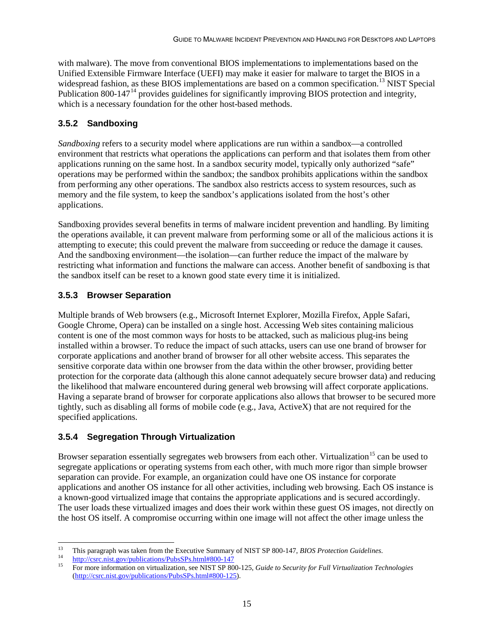with malware). The move from conventional BIOS implementations to implementations based on the Unified Extensible Firmware Interface (UEFI) may make it easier for malware to target the BIOS in a widespread fashion, as these BIOS implementations are based on a common specification.<sup>[13](#page-25-3)</sup> NIST Special Publication 800-147<sup>14</sup> provides guidelines for significantly improving BIOS protection and integrity, which is a necessary foundation for the other host-based methods.

## <span id="page-25-0"></span>**3.5.2 Sandboxing**

*Sandboxing* refers to a security model where applications are run within a sandbox—a controlled environment that restricts what operations the applications can perform and that isolates them from other applications running on the same host. In a sandbox security model, typically only authorized "safe" operations may be performed within the sandbox; the sandbox prohibits applications within the sandbox from performing any other operations. The sandbox also restricts access to system resources, such as memory and the file system, to keep the sandbox's applications isolated from the host's other applications.

Sandboxing provides several benefits in terms of malware incident prevention and handling. By limiting the operations available, it can prevent malware from performing some or all of the malicious actions it is attempting to execute; this could prevent the malware from succeeding or reduce the damage it causes. And the sandboxing environment—the isolation—can further reduce the impact of the malware by restricting what information and functions the malware can access. Another benefit of sandboxing is that the sandbox itself can be reset to a known good state every time it is initialized.

## <span id="page-25-1"></span>**3.5.3 Browser Separation**

Multiple brands of Web browsers (e.g., Microsoft Internet Explorer, Mozilla Firefox, Apple Safari, Google Chrome, Opera) can be installed on a single host. Accessing Web sites containing malicious content is one of the most common ways for hosts to be attacked, such as malicious plug-ins being installed within a browser. To reduce the impact of such attacks, users can use one brand of browser for corporate applications and another brand of browser for all other website access. This separates the sensitive corporate data within one browser from the data within the other browser, providing better protection for the corporate data (although this alone cannot adequately secure browser data) and reducing the likelihood that malware encountered during general web browsing will affect corporate applications. Having a separate brand of browser for corporate applications also allows that browser to be secured more tightly, such as disabling all forms of mobile code (e.g., Java, ActiveX) that are not required for the specified applications.

## <span id="page-25-2"></span>**3.5.4 Segregation Through Virtualization**

Browser separation essentially segregates web browsers from each other. Virtualization<sup>[15](#page-25-5)</sup> can be used to segregate applications or operating systems from each other, with much more rigor than simple browser separation can provide. For example, an organization could have one OS instance for corporate applications and another OS instance for all other activities, including web browsing. Each OS instance is a known-good virtualized image that contains the appropriate applications and is secured accordingly. The user loads these virtualized images and does their work within these guest OS images, not directly on the host OS itself. A compromise occurring within one image will not affect the other image unless the

 $13$ 

<span id="page-25-5"></span>

<span id="page-25-4"></span><span id="page-25-3"></span><sup>&</sup>lt;sup>13</sup> This paragraph was taken from the Executive Summary of NIST SP 800-147, *BIOS Protection Guidelines*.<br><sup>14</sup> http://csrc.nist.gov/publications/PubsSPs.html#800-147<br><sup>15</sup> For more information on virtualization, see NIST [\(http://csrc.nist.gov/publications/PubsSPs.html#800-125\)](http://csrc.nist.gov/publications/PubsSPs.html#800-125).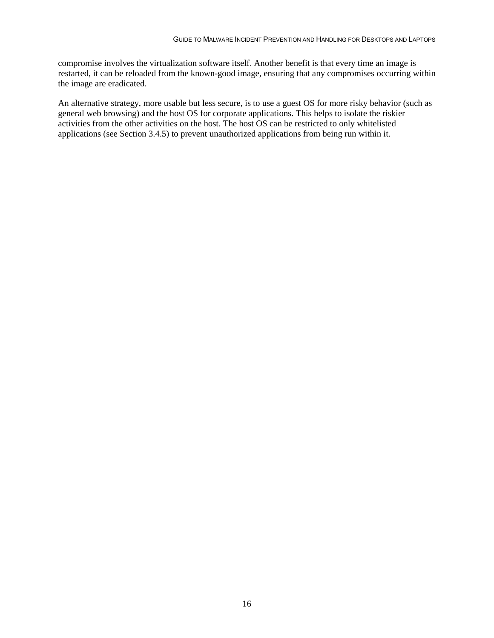compromise involves the virtualization software itself. Another benefit is that every time an image is restarted, it can be reloaded from the known-good image, ensuring that any compromises occurring within the image are eradicated.

An alternative strategy, more usable but less secure, is to use a guest OS for more risky behavior (such as general web browsing) and the host OS for corporate applications. This helps to isolate the riskier activities from the other activities on the host. The host OS can be restricted to only whitelisted applications (see Section 3.4.5) to prevent unauthorized applications from being run within it.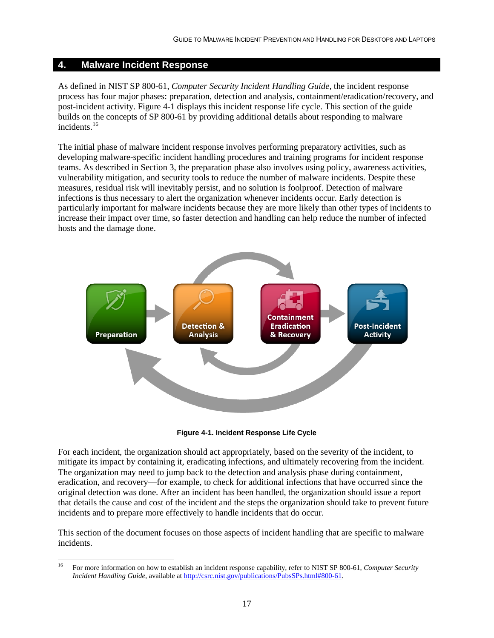#### <span id="page-27-0"></span>**4. Malware Incident Response**

As defined in NIST SP 800-61, *Computer Security Incident Handling Guide,* the incident response process has four major phases: preparation, detection and analysis, containment/eradication/recovery, and post-incident activity. Figure 4-1 displays this incident response life cycle. This section of the guide builds on the concepts of SP 800-61 by providing additional details about responding to malware incidents.[16](#page-27-2)

The initial phase of malware incident response involves performing preparatory activities, such as developing malware-specific incident handling procedures and training programs for incident response teams. As described in Section 3, the preparation phase also involves using policy, awareness activities, vulnerability mitigation, and security tools to reduce the number of malware incidents. Despite these measures, residual risk will inevitably persist, and no solution is foolproof. Detection of malware infections is thus necessary to alert the organization whenever incidents occur. Early detection is particularly important for malware incidents because they are more likely than other types of incidents to increase their impact over time, so faster detection and handling can help reduce the number of infected hosts and the damage done.



**Figure 4-1. Incident Response Life Cycle**

<span id="page-27-1"></span>For each incident, the organization should act appropriately, based on the severity of the incident, to mitigate its impact by containing it, eradicating infections, and ultimately recovering from the incident. The organization may need to jump back to the detection and analysis phase during containment, eradication, and recovery—for example, to check for additional infections that have occurred since the original detection was done. After an incident has been handled, the organization should issue a report that details the cause and cost of the incident and the steps the organization should take to prevent future incidents and to prepare more effectively to handle incidents that do occur.

This section of the document focuses on those aspects of incident handling that are specific to malware incidents.

<span id="page-27-2"></span><sup>16</sup> <sup>16</sup> For more information on how to establish an incident response capability, refer to NIST SP 800-61, *Computer Security Incident Handling Guide*, available at [http://csrc.nist.gov/publications/PubsSPs.html#800-61.](http://csrc.nist.gov/publications/PubsSPs.html#800-61)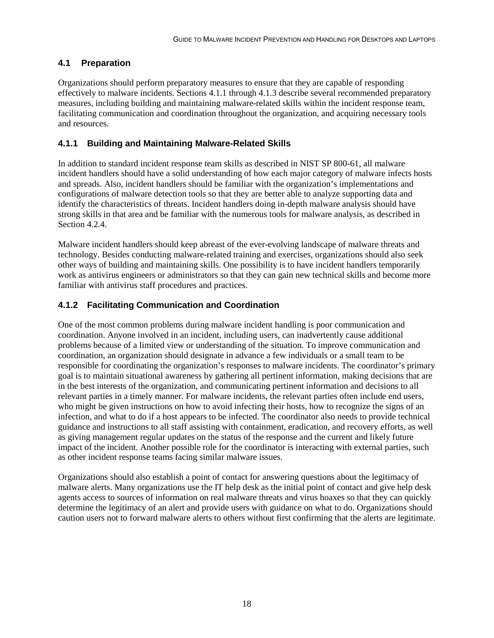#### <span id="page-28-0"></span>**4.1 Preparation**

Organizations should perform preparatory measures to ensure that they are capable of responding effectively to malware incidents. Sections 4.1.1 through 4.1.3 describe several recommended preparatory measures, including building and maintaining malware-related skills within the incident response team, facilitating communication and coordination throughout the organization, and acquiring necessary tools and resources.

#### <span id="page-28-1"></span>**4.1.1 Building and Maintaining Malware-Related Skills**

In addition to standard incident response team skills as described in NIST SP 800-61, all malware incident handlers should have a solid understanding of how each major category of malware infects hosts and spreads. Also, incident handlers should be familiar with the organization's implementations and configurations of malware detection tools so that they are better able to analyze supporting data and identify the characteristics of threats. Incident handlers doing in-depth malware analysis should have strong skills in that area and be familiar with the numerous tools for malware analysis, as described in Section 4.2.4.

Malware incident handlers should keep abreast of the ever-evolving landscape of malware threats and technology. Besides conducting malware-related training and exercises, organizations should also seek other ways of building and maintaining skills. One possibility is to have incident handlers temporarily work as antivirus engineers or administrators so that they can gain new technical skills and become more familiar with antivirus staff procedures and practices.

#### <span id="page-28-2"></span>**4.1.2 Facilitating Communication and Coordination**

One of the most common problems during malware incident handling is poor communication and coordination. Anyone involved in an incident, including users, can inadvertently cause additional problems because of a limited view or understanding of the situation. To improve communication and coordination, an organization should designate in advance a few individuals or a small team to be responsible for coordinating the organization's responses to malware incidents. The coordinator's primary goal is to maintain situational awareness by gathering all pertinent information, making decisions that are in the best interests of the organization, and communicating pertinent information and decisions to all relevant parties in a timely manner. For malware incidents, the relevant parties often include end users, who might be given instructions on how to avoid infecting their hosts, how to recognize the signs of an infection, and what to do if a host appears to be infected. The coordinator also needs to provide technical guidance and instructions to all staff assisting with containment, eradication, and recovery efforts, as well as giving management regular updates on the status of the response and the current and likely future impact of the incident. Another possible role for the coordinator is interacting with external parties, such as other incident response teams facing similar malware issues.

Organizations should also establish a point of contact for answering questions about the legitimacy of malware alerts. Many organizations use the IT help desk as the initial point of contact and give help desk agents access to sources of information on real malware threats and virus hoaxes so that they can quickly determine the legitimacy of an alert and provide users with guidance on what to do. Organizations should caution users not to forward malware alerts to others without first confirming that the alerts are legitimate.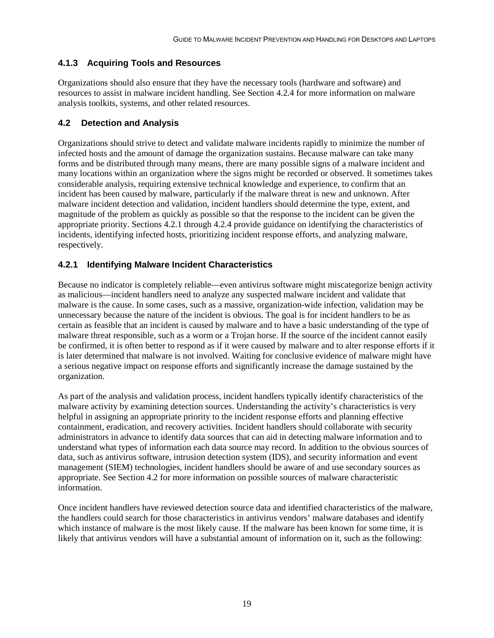#### <span id="page-29-0"></span>**4.1.3 Acquiring Tools and Resources**

Organizations should also ensure that they have the necessary tools (hardware and software) and resources to assist in malware incident handling. See Section 4.2.4 for more information on malware analysis toolkits, systems, and other related resources.

#### <span id="page-29-1"></span>**4.2 Detection and Analysis**

Organizations should strive to detect and validate malware incidents rapidly to minimize the number of infected hosts and the amount of damage the organization sustains. Because malware can take many forms and be distributed through many means, there are many possible signs of a malware incident and many locations within an organization where the signs might be recorded or observed. It sometimes takes considerable analysis, requiring extensive technical knowledge and experience, to confirm that an incident has been caused by malware, particularly if the malware threat is new and unknown. After malware incident detection and validation, incident handlers should determine the type, extent, and magnitude of the problem as quickly as possible so that the response to the incident can be given the appropriate priority. Sections 4.2.1 through 4.2.4 provide guidance on identifying the characteristics of incidents, identifying infected hosts, prioritizing incident response efforts, and analyzing malware, respectively.

#### <span id="page-29-2"></span>**4.2.1 Identifying Malware Incident Characteristics**

Because no indicator is completely reliable—even antivirus software might miscategorize benign activity as malicious—incident handlers need to analyze any suspected malware incident and validate that malware is the cause. In some cases, such as a massive, organization-wide infection, validation may be unnecessary because the nature of the incident is obvious. The goal is for incident handlers to be as certain as feasible that an incident is caused by malware and to have a basic understanding of the type of malware threat responsible, such as a worm or a Trojan horse. If the source of the incident cannot easily be confirmed, it is often better to respond as if it were caused by malware and to alter response efforts if it is later determined that malware is not involved. Waiting for conclusive evidence of malware might have a serious negative impact on response efforts and significantly increase the damage sustained by the organization.

As part of the analysis and validation process, incident handlers typically identify characteristics of the malware activity by examining detection sources. Understanding the activity's characteristics is very helpful in assigning an appropriate priority to the incident response efforts and planning effective containment, eradication, and recovery activities. Incident handlers should collaborate with security administrators in advance to identify data sources that can aid in detecting malware information and to understand what types of information each data source may record. In addition to the obvious sources of data, such as antivirus software, intrusion detection system (IDS), and security information and event management (SIEM) technologies, incident handlers should be aware of and use secondary sources as appropriate. See Section 4.2 for more information on possible sources of malware characteristic information.

Once incident handlers have reviewed detection source data and identified characteristics of the malware, the handlers could search for those characteristics in antivirus vendors' malware databases and identify which instance of malware is the most likely cause. If the malware has been known for some time, it is likely that antivirus vendors will have a substantial amount of information on it, such as the following: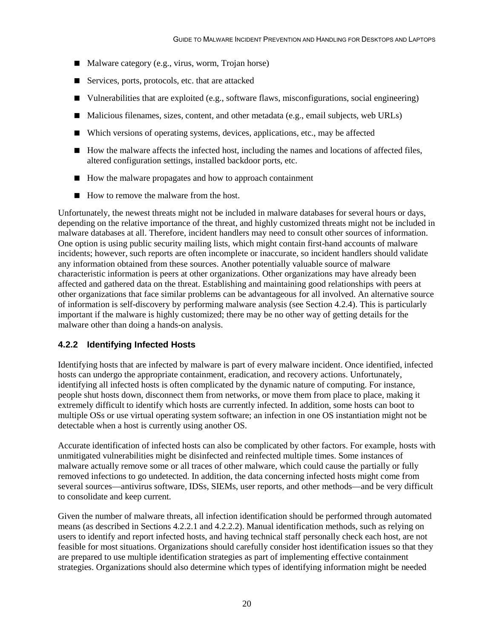- $\blacksquare$  Malware category (e.g., virus, worm, Trojan horse)
- Services, ports, protocols, etc. that are attacked
- $\blacksquare$  Vulnerabilities that are exploited (e.g., software flaws, misconfigurations, social engineering)
- Malicious filenames, sizes, content, and other metadata (e.g., email subjects, web URLs)
- Which versions of operating systems, devices, applications, etc., may be affected
- $\blacksquare$  How the malware affects the infected host, including the names and locations of affected files, altered configuration settings, installed backdoor ports, etc.
- $\blacksquare$  How the malware propagates and how to approach containment
- How to remove the malware from the host.

Unfortunately, the newest threats might not be included in malware databases for several hours or days, depending on the relative importance of the threat, and highly customized threats might not be included in malware databases at all. Therefore, incident handlers may need to consult other sources of information. One option is using public security mailing lists, which might contain first-hand accounts of malware incidents; however, such reports are often incomplete or inaccurate, so incident handlers should validate any information obtained from these sources. Another potentially valuable source of malware characteristic information is peers at other organizations. Other organizations may have already been affected and gathered data on the threat. Establishing and maintaining good relationships with peers at other organizations that face similar problems can be advantageous for all involved. An alternative source of information is self-discovery by performing malware analysis (see Section 4.2.4). This is particularly important if the malware is highly customized; there may be no other way of getting details for the malware other than doing a hands-on analysis.

#### <span id="page-30-0"></span>**4.2.2 Identifying Infected Hosts**

Identifying hosts that are infected by malware is part of every malware incident. Once identified, infected hosts can undergo the appropriate containment, eradication, and recovery actions. Unfortunately, identifying all infected hosts is often complicated by the dynamic nature of computing. For instance, people shut hosts down, disconnect them from networks, or move them from place to place, making it extremely difficult to identify which hosts are currently infected. In addition, some hosts can boot to multiple OSs or use virtual operating system software; an infection in one OS instantiation might not be detectable when a host is currently using another OS.

Accurate identification of infected hosts can also be complicated by other factors. For example, hosts with unmitigated vulnerabilities might be disinfected and reinfected multiple times. Some instances of malware actually remove some or all traces of other malware, which could cause the partially or fully removed infections to go undetected. In addition, the data concerning infected hosts might come from several sources—antivirus software, IDSs, SIEMs, user reports, and other methods—and be very difficult to consolidate and keep current.

Given the number of malware threats, all infection identification should be performed through automated means (as described in Sections 4.2.2.1 and 4.2.2.2). Manual identification methods, such as relying on users to identify and report infected hosts, and having technical staff personally check each host, are not feasible for most situations. Organizations should carefully consider host identification issues so that they are prepared to use multiple identification strategies as part of implementing effective containment strategies. Organizations should also determine which types of identifying information might be needed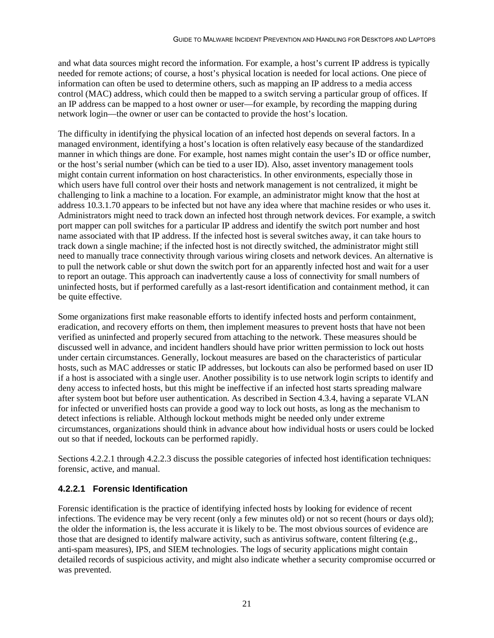and what data sources might record the information. For example, a host's current IP address is typically needed for remote actions; of course, a host's physical location is needed for local actions. One piece of information can often be used to determine others, such as mapping an IP address to a media access control (MAC) address, which could then be mapped to a switch serving a particular group of offices. If an IP address can be mapped to a host owner or user—for example, by recording the mapping during network login—the owner or user can be contacted to provide the host's location.

The difficulty in identifying the physical location of an infected host depends on several factors. In a managed environment, identifying a host's location is often relatively easy because of the standardized manner in which things are done. For example, host names might contain the user's ID or office number, or the host's serial number (which can be tied to a user ID). Also, asset inventory management tools might contain current information on host characteristics. In other environments, especially those in which users have full control over their hosts and network management is not centralized, it might be challenging to link a machine to a location. For example, an administrator might know that the host at address 10.3.1.70 appears to be infected but not have any idea where that machine resides or who uses it. Administrators might need to track down an infected host through network devices. For example, a switch port mapper can poll switches for a particular IP address and identify the switch port number and host name associated with that IP address. If the infected host is several switches away, it can take hours to track down a single machine; if the infected host is not directly switched, the administrator might still need to manually trace connectivity through various wiring closets and network devices. An alternative is to pull the network cable or shut down the switch port for an apparently infected host and wait for a user to report an outage. This approach can inadvertently cause a loss of connectivity for small numbers of uninfected hosts, but if performed carefully as a last-resort identification and containment method, it can be quite effective.

Some organizations first make reasonable efforts to identify infected hosts and perform containment, eradication, and recovery efforts on them, then implement measures to prevent hosts that have not been verified as uninfected and properly secured from attaching to the network. These measures should be discussed well in advance, and incident handlers should have prior written permission to lock out hosts under certain circumstances. Generally, lockout measures are based on the characteristics of particular hosts, such as MAC addresses or static IP addresses, but lockouts can also be performed based on user ID if a host is associated with a single user. Another possibility is to use network login scripts to identify and deny access to infected hosts, but this might be ineffective if an infected host starts spreading malware after system boot but before user authentication. As described in Section 4.3.4, having a separate VLAN for infected or unverified hosts can provide a good way to lock out hosts, as long as the mechanism to detect infections is reliable. Although lockout methods might be needed only under extreme circumstances, organizations should think in advance about how individual hosts or users could be locked out so that if needed, lockouts can be performed rapidly.

Sections 4.2.2.1 through 4.2.2.3 discuss the possible categories of infected host identification techniques: forensic, active, and manual.

#### **4.2.2.1 Forensic Identification**

Forensic identification is the practice of identifying infected hosts by looking for evidence of recent infections. The evidence may be very recent (only a few minutes old) or not so recent (hours or days old); the older the information is, the less accurate it is likely to be. The most obvious sources of evidence are those that are designed to identify malware activity, such as antivirus software, content filtering (e.g., anti-spam measures), IPS, and SIEM technologies. The logs of security applications might contain detailed records of suspicious activity, and might also indicate whether a security compromise occurred or was prevented.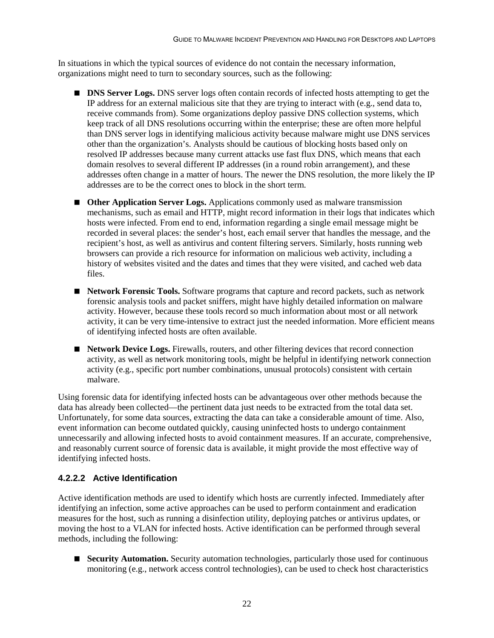In situations in which the typical sources of evidence do not contain the necessary information, organizations might need to turn to secondary sources, such as the following:

- **DNS Server Logs.** DNS server logs often contain records of infected hosts attempting to get the IP address for an external malicious site that they are trying to interact with (e.g., send data to, receive commands from). Some organizations deploy passive DNS collection systems, which keep track of all DNS resolutions occurring within the enterprise; these are often more helpful than DNS server logs in identifying malicious activity because malware might use DNS services other than the organization's. Analysts should be cautious of blocking hosts based only on resolved IP addresses because many current attacks use fast flux DNS, which means that each domain resolves to several different IP addresses (in a round robin arrangement), and these addresses often change in a matter of hours. The newer the DNS resolution, the more likely the IP addresses are to be the correct ones to block in the short term.
- **Other Application Server Logs.** Applications commonly used as malware transmission mechanisms, such as email and HTTP, might record information in their logs that indicates which hosts were infected. From end to end, information regarding a single email message might be recorded in several places: the sender's host, each email server that handles the message, and the recipient's host, as well as antivirus and content filtering servers. Similarly, hosts running web browsers can provide a rich resource for information on malicious web activity, including a history of websites visited and the dates and times that they were visited, and cached web data files.
- **Network Forensic Tools.** Software programs that capture and record packets, such as network forensic analysis tools and packet sniffers, might have highly detailed information on malware activity. However, because these tools record so much information about most or all network activity, it can be very time-intensive to extract just the needed information. More efficient means of identifying infected hosts are often available.
- **Network Device Logs.** Firewalls, routers, and other filtering devices that record connection activity, as well as network monitoring tools, might be helpful in identifying network connection activity (e.g., specific port number combinations, unusual protocols) consistent with certain malware.

Using forensic data for identifying infected hosts can be advantageous over other methods because the data has already been collected—the pertinent data just needs to be extracted from the total data set. Unfortunately, for some data sources, extracting the data can take a considerable amount of time. Also, event information can become outdated quickly, causing uninfected hosts to undergo containment unnecessarily and allowing infected hosts to avoid containment measures. If an accurate, comprehensive, and reasonably current source of forensic data is available, it might provide the most effective way of identifying infected hosts.

#### **4.2.2.2 Active Identification**

Active identification methods are used to identify which hosts are currently infected. Immediately after identifying an infection, some active approaches can be used to perform containment and eradication measures for the host, such as running a disinfection utility, deploying patches or antivirus updates, or moving the host to a VLAN for infected hosts. Active identification can be performed through several methods, including the following:

■ **Security Automation.** Security automation technologies, particularly those used for continuous monitoring (e.g., network access control technologies), can be used to check host characteristics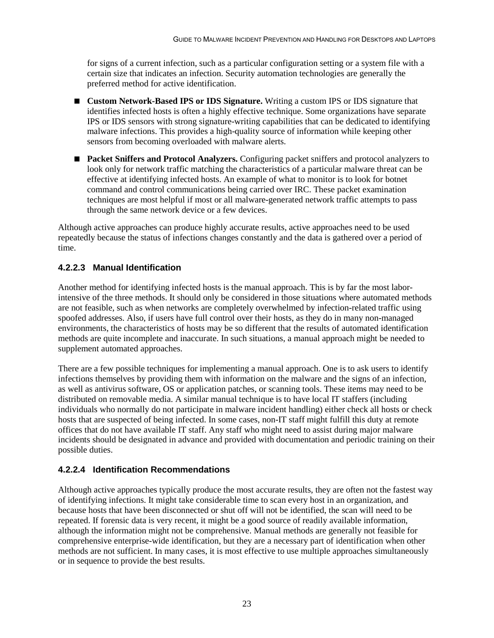for signs of a current infection, such as a particular configuration setting or a system file with a certain size that indicates an infection. Security automation technologies are generally the preferred method for active identification.

- **Custom Network-Based IPS or IDS Signature.** Writing a custom IPS or IDS signature that identifies infected hosts is often a highly effective technique. Some organizations have separate IPS or IDS sensors with strong signature-writing capabilities that can be dedicated to identifying malware infections. This provides a high-quality source of information while keeping other sensors from becoming overloaded with malware alerts.
- **Packet Sniffers and Protocol Analyzers.** Configuring packet sniffers and protocol analyzers to look only for network traffic matching the characteristics of a particular malware threat can be effective at identifying infected hosts. An example of what to monitor is to look for botnet command and control communications being carried over IRC. These packet examination techniques are most helpful if most or all malware-generated network traffic attempts to pass through the same network device or a few devices.

Although active approaches can produce highly accurate results, active approaches need to be used repeatedly because the status of infections changes constantly and the data is gathered over a period of time.

### **4.2.2.3 Manual Identification**

Another method for identifying infected hosts is the manual approach. This is by far the most laborintensive of the three methods. It should only be considered in those situations where automated methods are not feasible, such as when networks are completely overwhelmed by infection-related traffic using spoofed addresses. Also, if users have full control over their hosts, as they do in many non-managed environments, the characteristics of hosts may be so different that the results of automated identification methods are quite incomplete and inaccurate. In such situations, a manual approach might be needed to supplement automated approaches.

There are a few possible techniques for implementing a manual approach. One is to ask users to identify infections themselves by providing them with information on the malware and the signs of an infection, as well as antivirus software, OS or application patches, or scanning tools. These items may need to be distributed on removable media. A similar manual technique is to have local IT staffers (including individuals who normally do not participate in malware incident handling) either check all hosts or check hosts that are suspected of being infected. In some cases, non-IT staff might fulfill this duty at remote offices that do not have available IT staff. Any staff who might need to assist during major malware incidents should be designated in advance and provided with documentation and periodic training on their possible duties.

#### **4.2.2.4 Identification Recommendations**

Although active approaches typically produce the most accurate results, they are often not the fastest way of identifying infections. It might take considerable time to scan every host in an organization, and because hosts that have been disconnected or shut off will not be identified, the scan will need to be repeated. If forensic data is very recent, it might be a good source of readily available information, although the information might not be comprehensive. Manual methods are generally not feasible for comprehensive enterprise-wide identification, but they are a necessary part of identification when other methods are not sufficient. In many cases, it is most effective to use multiple approaches simultaneously or in sequence to provide the best results.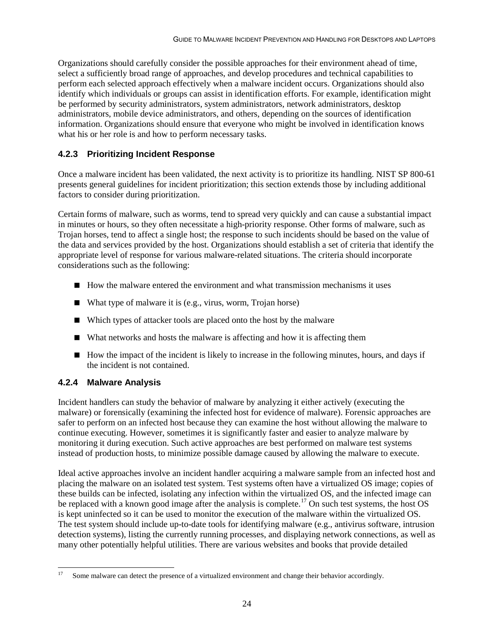Organizations should carefully consider the possible approaches for their environment ahead of time, select a sufficiently broad range of approaches, and develop procedures and technical capabilities to perform each selected approach effectively when a malware incident occurs. Organizations should also identify which individuals or groups can assist in identification efforts. For example, identification might be performed by security administrators, system administrators, network administrators, desktop administrators, mobile device administrators, and others, depending on the sources of identification information. Organizations should ensure that everyone who might be involved in identification knows what his or her role is and how to perform necessary tasks.

### <span id="page-34-0"></span>**4.2.3 Prioritizing Incident Response**

Once a malware incident has been validated, the next activity is to prioritize its handling. NIST SP 800-61 presents general guidelines for incident prioritization; this section extends those by including additional factors to consider during prioritization.

Certain forms of malware, such as worms, tend to spread very quickly and can cause a substantial impact in minutes or hours, so they often necessitate a high-priority response. Other forms of malware, such as Trojan horses, tend to affect a single host; the response to such incidents should be based on the value of the data and services provided by the host. Organizations should establish a set of criteria that identify the appropriate level of response for various malware-related situations. The criteria should incorporate considerations such as the following:

- $\blacksquare$  How the malware entered the environment and what transmission mechanisms it uses
- What type of malware it is (e.g., virus, worm, Trojan horse)
- Which types of attacker tools are placed onto the host by the malware
- What networks and hosts the malware is affecting and how it is affecting them
- How the impact of the incident is likely to increase in the following minutes, hours, and days if the incident is not contained.

#### <span id="page-34-1"></span>**4.2.4 Malware Analysis**

Incident handlers can study the behavior of malware by analyzing it either actively (executing the malware) or forensically (examining the infected host for evidence of malware). Forensic approaches are safer to perform on an infected host because they can examine the host without allowing the malware to continue executing. However, sometimes it is significantly faster and easier to analyze malware by monitoring it during execution. Such active approaches are best performed on malware test systems instead of production hosts, to minimize possible damage caused by allowing the malware to execute.

Ideal active approaches involve an incident handler acquiring a malware sample from an infected host and placing the malware on an isolated test system. Test systems often have a virtualized OS image; copies of these builds can be infected, isolating any infection within the virtualized OS, and the infected image can be replaced with a known good image after the analysis is complete.<sup>[17](#page-34-2)</sup> On such test systems, the host OS is kept uninfected so it can be used to monitor the execution of the malware within the virtualized OS. The test system should include up-to-date tools for identifying malware (e.g., antivirus software, intrusion detection systems), listing the currently running processes, and displaying network connections, as well as many other potentially helpful utilities. There are various websites and books that provide detailed

<span id="page-34-2"></span><sup>17</sup> Some malware can detect the presence of a virtualized environment and change their behavior accordingly.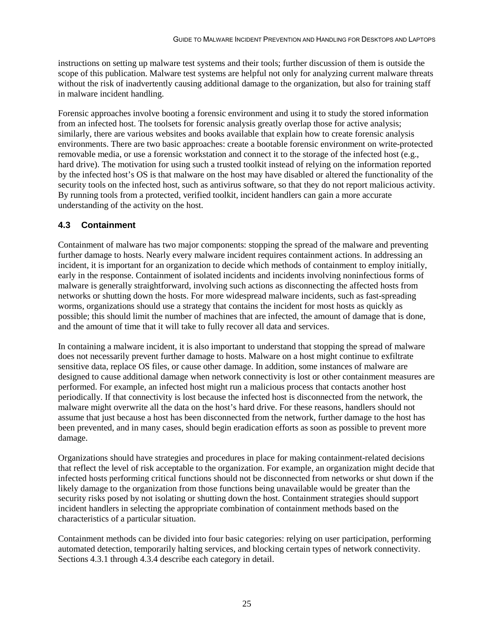instructions on setting up malware test systems and their tools; further discussion of them is outside the scope of this publication. Malware test systems are helpful not only for analyzing current malware threats without the risk of inadvertently causing additional damage to the organization, but also for training staff in malware incident handling.

Forensic approaches involve booting a forensic environment and using it to study the stored information from an infected host. The toolsets for forensic analysis greatly overlap those for active analysis; similarly, there are various websites and books available that explain how to create forensic analysis environments. There are two basic approaches: create a bootable forensic environment on write-protected removable media, or use a forensic workstation and connect it to the storage of the infected host (e.g., hard drive). The motivation for using such a trusted toolkit instead of relying on the information reported by the infected host's OS is that malware on the host may have disabled or altered the functionality of the security tools on the infected host, such as antivirus software, so that they do not report malicious activity. By running tools from a protected, verified toolkit, incident handlers can gain a more accurate understanding of the activity on the host.

#### <span id="page-35-0"></span>**4.3 Containment**

Containment of malware has two major components: stopping the spread of the malware and preventing further damage to hosts. Nearly every malware incident requires containment actions. In addressing an incident, it is important for an organization to decide which methods of containment to employ initially, early in the response. Containment of isolated incidents and incidents involving noninfectious forms of malware is generally straightforward, involving such actions as disconnecting the affected hosts from networks or shutting down the hosts. For more widespread malware incidents, such as fast-spreading worms, organizations should use a strategy that contains the incident for most hosts as quickly as possible; this should limit the number of machines that are infected, the amount of damage that is done, and the amount of time that it will take to fully recover all data and services.

In containing a malware incident, it is also important to understand that stopping the spread of malware does not necessarily prevent further damage to hosts. Malware on a host might continue to exfiltrate sensitive data, replace OS files, or cause other damage. In addition, some instances of malware are designed to cause additional damage when network connectivity is lost or other containment measures are performed. For example, an infected host might run a malicious process that contacts another host periodically. If that connectivity is lost because the infected host is disconnected from the network, the malware might overwrite all the data on the host's hard drive. For these reasons, handlers should not assume that just because a host has been disconnected from the network, further damage to the host has been prevented, and in many cases, should begin eradication efforts as soon as possible to prevent more damage.

Organizations should have strategies and procedures in place for making containment-related decisions that reflect the level of risk acceptable to the organization. For example, an organization might decide that infected hosts performing critical functions should not be disconnected from networks or shut down if the likely damage to the organization from those functions being unavailable would be greater than the security risks posed by not isolating or shutting down the host. Containment strategies should support incident handlers in selecting the appropriate combination of containment methods based on the characteristics of a particular situation.

Containment methods can be divided into four basic categories: relying on user participation, performing automated detection, temporarily halting services, and blocking certain types of network connectivity. Sections 4.3.1 through 4.3.4 describe each category in detail.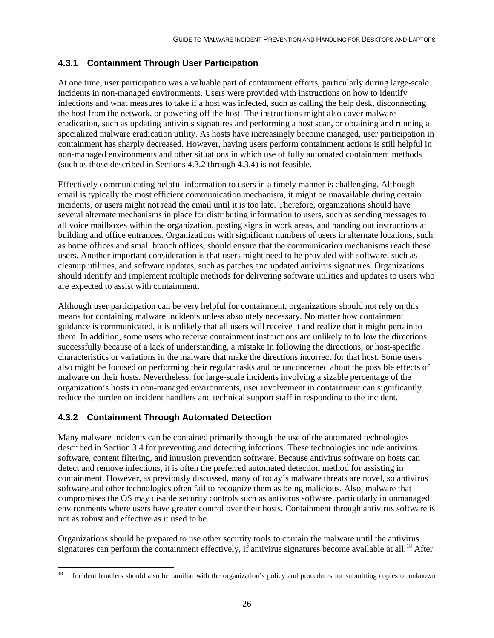#### <span id="page-36-0"></span>**4.3.1 Containment Through User Participation**

At one time, user participation was a valuable part of containment efforts, particularly during large-scale incidents in non-managed environments. Users were provided with instructions on how to identify infections and what measures to take if a host was infected, such as calling the help desk, disconnecting the host from the network, or powering off the host. The instructions might also cover malware eradication, such as updating antivirus signatures and performing a host scan, or obtaining and running a specialized malware eradication utility. As hosts have increasingly become managed, user participation in containment has sharply decreased. However, having users perform containment actions is still helpful in non-managed environments and other situations in which use of fully automated containment methods (such as those described in Sections 4.3.2 through 4.3.4) is not feasible.

Effectively communicating helpful information to users in a timely manner is challenging. Although email is typically the most efficient communication mechanism, it might be unavailable during certain incidents, or users might not read the email until it is too late. Therefore, organizations should have several alternate mechanisms in place for distributing information to users, such as sending messages to all voice mailboxes within the organization, posting signs in work areas, and handing out instructions at building and office entrances. Organizations with significant numbers of users in alternate locations, such as home offices and small branch offices, should ensure that the communication mechanisms reach these users. Another important consideration is that users might need to be provided with software, such as cleanup utilities, and software updates, such as patches and updated antivirus signatures. Organizations should identify and implement multiple methods for delivering software utilities and updates to users who are expected to assist with containment.

Although user participation can be very helpful for containment, organizations should not rely on this means for containing malware incidents unless absolutely necessary. No matter how containment guidance is communicated, it is unlikely that all users will receive it and realize that it might pertain to them. In addition, some users who receive containment instructions are unlikely to follow the directions successfully because of a lack of understanding, a mistake in following the directions, or host-specific characteristics or variations in the malware that make the directions incorrect for that host. Some users also might be focused on performing their regular tasks and be unconcerned about the possible effects of malware on their hosts. Nevertheless, for large-scale incidents involving a sizable percentage of the organization's hosts in non-managed environments, user involvement in containment can significantly reduce the burden on incident handlers and technical support staff in responding to the incident.

#### <span id="page-36-1"></span>**4.3.2 Containment Through Automated Detection**

Many malware incidents can be contained primarily through the use of the automated technologies described in Section 3.4 for preventing and detecting infections. These technologies include antivirus software, content filtering, and intrusion prevention software. Because antivirus software on hosts can detect and remove infections, it is often the preferred automated detection method for assisting in containment. However, as previously discussed, many of today's malware threats are novel, so antivirus software and other technologies often fail to recognize them as being malicious. Also, malware that compromises the OS may disable security controls such as antivirus software, particularly in unmanaged environments where users have greater control over their hosts. Containment through antivirus software is not as robust and effective as it used to be.

Organizations should be prepared to use other security tools to contain the malware until the antivirus signatures can perform the containment effectively, if antivirus signatures become available at all.<sup>[18](#page-36-2)</sup> After

<span id="page-36-2"></span> $\overline{a}$ 18 Incident handlers should also be familiar with the organization's policy and procedures for submitting copies of unknown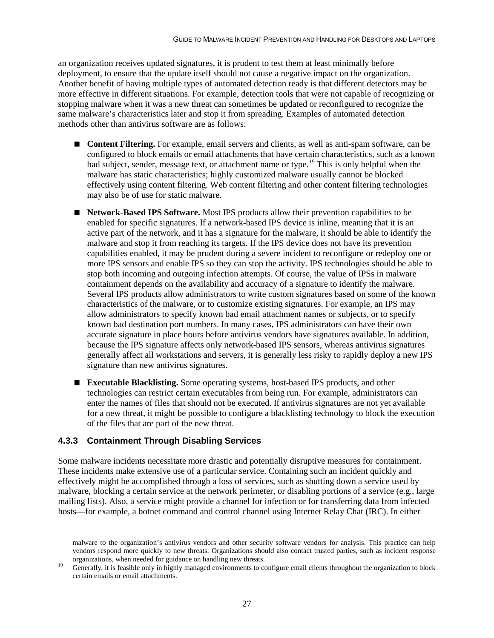an organization receives updated signatures, it is prudent to test them at least minimally before deployment, to ensure that the update itself should not cause a negative impact on the organization. Another benefit of having multiple types of automated detection ready is that different detectors may be more effective in different situations. For example, detection tools that were not capable of recognizing or stopping malware when it was a new threat can sometimes be updated or reconfigured to recognize the same malware's characteristics later and stop it from spreading. Examples of automated detection methods other than antivirus software are as follows:

- **Content Filtering.** For example, email servers and clients, as well as anti-spam software, can be configured to block emails or email attachments that have certain characteristics, such as a known bad subject, sender, message text, or attachment name or type.<sup>[19](#page-37-1)</sup> This is only helpful when the malware has static characteristics; highly customized malware usually cannot be blocked effectively using content filtering. Web content filtering and other content filtering technologies may also be of use for static malware.
- **Network-Based IPS Software.** Most IPS products allow their prevention capabilities to be enabled for specific signatures. If a network-based IPS device is inline, meaning that it is an active part of the network, and it has a signature for the malware, it should be able to identify the malware and stop it from reaching its targets. If the IPS device does not have its prevention capabilities enabled, it may be prudent during a severe incident to reconfigure or redeploy one or more IPS sensors and enable IPS so they can stop the activity. IPS technologies should be able to stop both incoming and outgoing infection attempts. Of course, the value of IPSs in malware containment depends on the availability and accuracy of a signature to identify the malware. Several IPS products allow administrators to write custom signatures based on some of the known characteristics of the malware, or to customize existing signatures. For example, an IPS may allow administrators to specify known bad email attachment names or subjects, or to specify known bad destination port numbers. In many cases, IPS administrators can have their own accurate signature in place hours before antivirus vendors have signatures available. In addition, because the IPS signature affects only network-based IPS sensors, whereas antivirus signatures generally affect all workstations and servers, it is generally less risky to rapidly deploy a new IPS signature than new antivirus signatures.
- **Executable Blacklisting.** Some operating systems, host-based IPS products, and other technologies can restrict certain executables from being run. For example, administrators can enter the names of files that should not be executed. If antivirus signatures are not yet available for a new threat, it might be possible to configure a blacklisting technology to block the execution of the files that are part of the new threat.

#### <span id="page-37-0"></span>**4.3.3 Containment Through Disabling Services**

Some malware incidents necessitate more drastic and potentially disruptive measures for containment. These incidents make extensive use of a particular service. Containing such an incident quickly and effectively might be accomplished through a loss of services, such as shutting down a service used by malware, blocking a certain service at the network perimeter, or disabling portions of a service (e.g., large mailing lists). Also, a service might provide a channel for infection or for transferring data from infected hosts—for example, a botnet command and control channel using Internet Relay Chat (IRC). In either

malware to the organization's antivirus vendors and other security software vendors for analysis. This practice can help vendors respond more quickly to new threats. Organizations should also contact trusted parties, such as incident response

<span id="page-37-1"></span>organizations, when needed for guidance on handling new threats.<br><sup>19</sup> Generally, it is feasible only in highly managed environments to configure email clients throughout the organization to block certain emails or email attachments.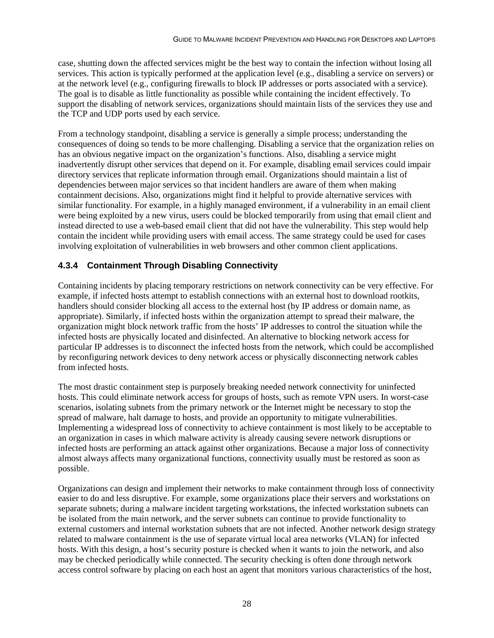case, shutting down the affected services might be the best way to contain the infection without losing all services. This action is typically performed at the application level (e.g., disabling a service on servers) or at the network level (e.g., configuring firewalls to block IP addresses or ports associated with a service). The goal is to disable as little functionality as possible while containing the incident effectively. To support the disabling of network services, organizations should maintain lists of the services they use and the TCP and UDP ports used by each service.

From a technology standpoint, disabling a service is generally a simple process; understanding the consequences of doing so tends to be more challenging. Disabling a service that the organization relies on has an obvious negative impact on the organization's functions. Also, disabling a service might inadvertently disrupt other services that depend on it. For example, disabling email services could impair directory services that replicate information through email. Organizations should maintain a list of dependencies between major services so that incident handlers are aware of them when making containment decisions. Also, organizations might find it helpful to provide alternative services with similar functionality. For example, in a highly managed environment, if a vulnerability in an email client were being exploited by a new virus, users could be blocked temporarily from using that email client and instead directed to use a web-based email client that did not have the vulnerability. This step would help contain the incident while providing users with email access. The same strategy could be used for cases involving exploitation of vulnerabilities in web browsers and other common client applications.

#### <span id="page-38-0"></span>**4.3.4 Containment Through Disabling Connectivity**

Containing incidents by placing temporary restrictions on network connectivity can be very effective. For example, if infected hosts attempt to establish connections with an external host to download rootkits, handlers should consider blocking all access to the external host (by IP address or domain name, as appropriate). Similarly, if infected hosts within the organization attempt to spread their malware, the organization might block network traffic from the hosts' IP addresses to control the situation while the infected hosts are physically located and disinfected. An alternative to blocking network access for particular IP addresses is to disconnect the infected hosts from the network, which could be accomplished by reconfiguring network devices to deny network access or physically disconnecting network cables from infected hosts.

The most drastic containment step is purposely breaking needed network connectivity for uninfected hosts. This could eliminate network access for groups of hosts, such as remote VPN users. In worst-case scenarios, isolating subnets from the primary network or the Internet might be necessary to stop the spread of malware, halt damage to hosts, and provide an opportunity to mitigate vulnerabilities. Implementing a widespread loss of connectivity to achieve containment is most likely to be acceptable to an organization in cases in which malware activity is already causing severe network disruptions or infected hosts are performing an attack against other organizations. Because a major loss of connectivity almost always affects many organizational functions, connectivity usually must be restored as soon as possible.

Organizations can design and implement their networks to make containment through loss of connectivity easier to do and less disruptive. For example, some organizations place their servers and workstations on separate subnets; during a malware incident targeting workstations, the infected workstation subnets can be isolated from the main network, and the server subnets can continue to provide functionality to external customers and internal workstation subnets that are not infected. Another network design strategy related to malware containment is the use of separate virtual local area networks (VLAN) for infected hosts. With this design, a host's security posture is checked when it wants to join the network, and also may be checked periodically while connected. The security checking is often done through network access control software by placing on each host an agent that monitors various characteristics of the host,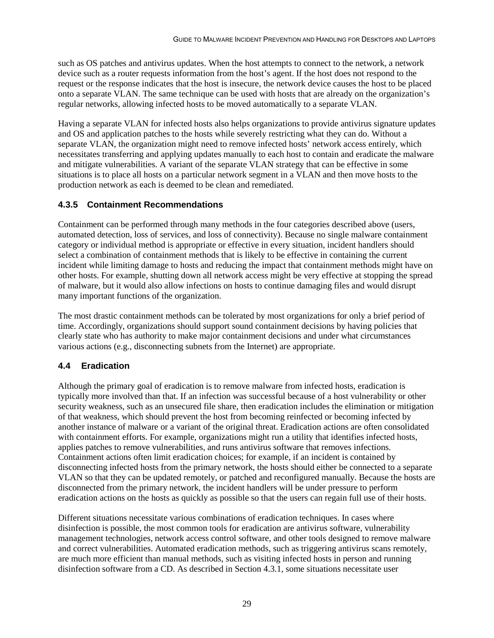such as OS patches and antivirus updates. When the host attempts to connect to the network, a network device such as a router requests information from the host's agent. If the host does not respond to the request or the response indicates that the host is insecure, the network device causes the host to be placed onto a separate VLAN. The same technique can be used with hosts that are already on the organization's regular networks, allowing infected hosts to be moved automatically to a separate VLAN.

Having a separate VLAN for infected hosts also helps organizations to provide antivirus signature updates and OS and application patches to the hosts while severely restricting what they can do. Without a separate VLAN, the organization might need to remove infected hosts' network access entirely, which necessitates transferring and applying updates manually to each host to contain and eradicate the malware and mitigate vulnerabilities. A variant of the separate VLAN strategy that can be effective in some situations is to place all hosts on a particular network segment in a VLAN and then move hosts to the production network as each is deemed to be clean and remediated.

#### <span id="page-39-0"></span>**4.3.5 Containment Recommendations**

Containment can be performed through many methods in the four categories described above (users, automated detection, loss of services, and loss of connectivity). Because no single malware containment category or individual method is appropriate or effective in every situation, incident handlers should select a combination of containment methods that is likely to be effective in containing the current incident while limiting damage to hosts and reducing the impact that containment methods might have on other hosts. For example, shutting down all network access might be very effective at stopping the spread of malware, but it would also allow infections on hosts to continue damaging files and would disrupt many important functions of the organization.

The most drastic containment methods can be tolerated by most organizations for only a brief period of time. Accordingly, organizations should support sound containment decisions by having policies that clearly state who has authority to make major containment decisions and under what circumstances various actions (e.g., disconnecting subnets from the Internet) are appropriate.

#### <span id="page-39-1"></span>**4.4 Eradication**

Although the primary goal of eradication is to remove malware from infected hosts, eradication is typically more involved than that. If an infection was successful because of a host vulnerability or other security weakness, such as an unsecured file share, then eradication includes the elimination or mitigation of that weakness, which should prevent the host from becoming reinfected or becoming infected by another instance of malware or a variant of the original threat. Eradication actions are often consolidated with containment efforts. For example, organizations might run a utility that identifies infected hosts, applies patches to remove vulnerabilities, and runs antivirus software that removes infections. Containment actions often limit eradication choices; for example, if an incident is contained by disconnecting infected hosts from the primary network, the hosts should either be connected to a separate VLAN so that they can be updated remotely, or patched and reconfigured manually. Because the hosts are disconnected from the primary network, the incident handlers will be under pressure to perform eradication actions on the hosts as quickly as possible so that the users can regain full use of their hosts.

Different situations necessitate various combinations of eradication techniques. In cases where disinfection is possible, the most common tools for eradication are antivirus software, vulnerability management technologies, network access control software, and other tools designed to remove malware and correct vulnerabilities. Automated eradication methods, such as triggering antivirus scans remotely, are much more efficient than manual methods, such as visiting infected hosts in person and running disinfection software from a CD. As described in Section 4.3.1, some situations necessitate user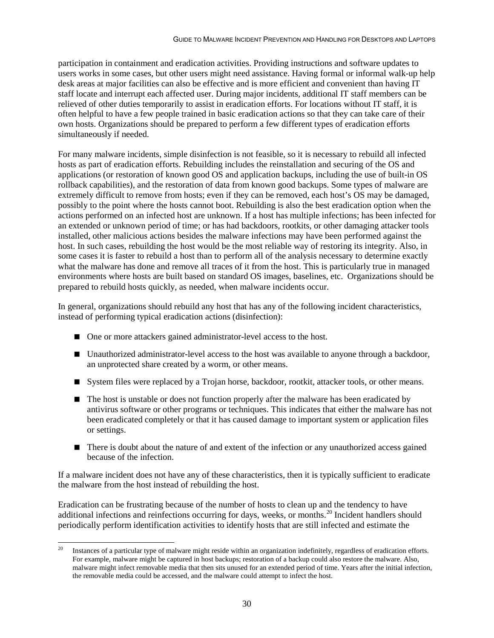participation in containment and eradication activities. Providing instructions and software updates to users works in some cases, but other users might need assistance. Having formal or informal walk-up help desk areas at major facilities can also be effective and is more efficient and convenient than having IT staff locate and interrupt each affected user. During major incidents, additional IT staff members can be relieved of other duties temporarily to assist in eradication efforts. For locations without IT staff, it is often helpful to have a few people trained in basic eradication actions so that they can take care of their own hosts. Organizations should be prepared to perform a few different types of eradication efforts simultaneously if needed.

For many malware incidents, simple disinfection is not feasible, so it is necessary to rebuild all infected hosts as part of eradication efforts. Rebuilding includes the reinstallation and securing of the OS and applications (or restoration of known good OS and application backups, including the use of built-in OS rollback capabilities), and the restoration of data from known good backups. Some types of malware are extremely difficult to remove from hosts; even if they can be removed, each host's OS may be damaged, possibly to the point where the hosts cannot boot. Rebuilding is also the best eradication option when the actions performed on an infected host are unknown. If a host has multiple infections; has been infected for an extended or unknown period of time; or has had backdoors, rootkits, or other damaging attacker tools installed, other malicious actions besides the malware infections may have been performed against the host. In such cases, rebuilding the host would be the most reliable way of restoring its integrity. Also, in some cases it is faster to rebuild a host than to perform all of the analysis necessary to determine exactly what the malware has done and remove all traces of it from the host. This is particularly true in managed environments where hosts are built based on standard OS images, baselines, etc. Organizations should be prepared to rebuild hosts quickly, as needed, when malware incidents occur.

In general, organizations should rebuild any host that has any of the following incident characteristics, instead of performing typical eradication actions (disinfection):

- One or more attackers gained administrator-level access to the host.
- Unauthorized administrator-level access to the host was available to anyone through a backdoor, an unprotected share created by a worm, or other means.
- System files were replaced by a Trojan horse, backdoor, rootkit, attacker tools, or other means.
- The host is unstable or does not function properly after the malware has been eradicated by antivirus software or other programs or techniques. This indicates that either the malware has not been eradicated completely or that it has caused damage to important system or application files or settings.
- There is doubt about the nature of and extent of the infection or any unauthorized access gained because of the infection.

If a malware incident does not have any of these characteristics, then it is typically sufficient to eradicate the malware from the host instead of rebuilding the host.

Eradication can be frustrating because of the number of hosts to clean up and the tendency to have additional infections and reinfections occurring for days, weeks, or months.<sup>[20](#page-40-0)</sup> Incident handlers should periodically perform identification activities to identify hosts that are still infected and estimate the

<span id="page-40-0"></span> $20$ Instances of a particular type of malware might reside within an organization indefinitely, regardless of eradication efforts. For example, malware might be captured in host backups; restoration of a backup could also restore the malware. Also, malware might infect removable media that then sits unused for an extended period of time. Years after the initial infection, the removable media could be accessed, and the malware could attempt to infect the host.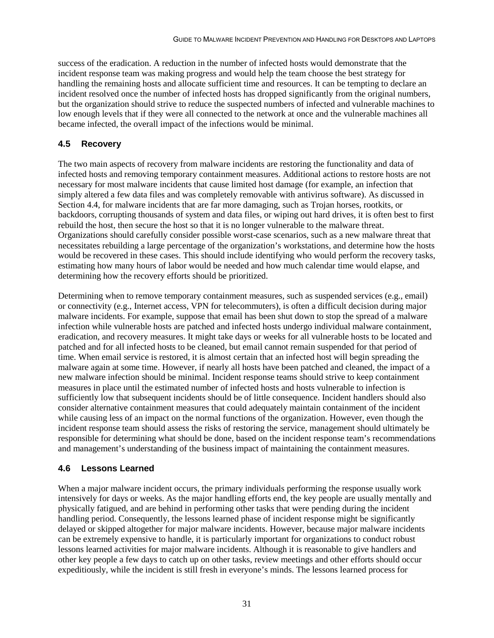success of the eradication. A reduction in the number of infected hosts would demonstrate that the incident response team was making progress and would help the team choose the best strategy for handling the remaining hosts and allocate sufficient time and resources. It can be tempting to declare an incident resolved once the number of infected hosts has dropped significantly from the original numbers, but the organization should strive to reduce the suspected numbers of infected and vulnerable machines to low enough levels that if they were all connected to the network at once and the vulnerable machines all became infected, the overall impact of the infections would be minimal.

#### <span id="page-41-0"></span>**4.5 Recovery**

The two main aspects of recovery from malware incidents are restoring the functionality and data of infected hosts and removing temporary containment measures. Additional actions to restore hosts are not necessary for most malware incidents that cause limited host damage (for example, an infection that simply altered a few data files and was completely removable with antivirus software). As discussed in Section 4.4, for malware incidents that are far more damaging, such as Trojan horses, rootkits, or backdoors, corrupting thousands of system and data files, or wiping out hard drives, it is often best to first rebuild the host, then secure the host so that it is no longer vulnerable to the malware threat. Organizations should carefully consider possible worst-case scenarios, such as a new malware threat that necessitates rebuilding a large percentage of the organization's workstations, and determine how the hosts would be recovered in these cases. This should include identifying who would perform the recovery tasks, estimating how many hours of labor would be needed and how much calendar time would elapse, and determining how the recovery efforts should be prioritized.

Determining when to remove temporary containment measures, such as suspended services (e.g., email) or connectivity (e.g., Internet access, VPN for telecommuters), is often a difficult decision during major malware incidents. For example, suppose that email has been shut down to stop the spread of a malware infection while vulnerable hosts are patched and infected hosts undergo individual malware containment, eradication, and recovery measures. It might take days or weeks for all vulnerable hosts to be located and patched and for all infected hosts to be cleaned, but email cannot remain suspended for that period of time. When email service is restored, it is almost certain that an infected host will begin spreading the malware again at some time. However, if nearly all hosts have been patched and cleaned, the impact of a new malware infection should be minimal. Incident response teams should strive to keep containment measures in place until the estimated number of infected hosts and hosts vulnerable to infection is sufficiently low that subsequent incidents should be of little consequence. Incident handlers should also consider alternative containment measures that could adequately maintain containment of the incident while causing less of an impact on the normal functions of the organization. However, even though the incident response team should assess the risks of restoring the service, management should ultimately be responsible for determining what should be done, based on the incident response team's recommendations and management's understanding of the business impact of maintaining the containment measures.

#### <span id="page-41-1"></span>**4.6 Lessons Learned**

When a major malware incident occurs, the primary individuals performing the response usually work intensively for days or weeks. As the major handling efforts end, the key people are usually mentally and physically fatigued, and are behind in performing other tasks that were pending during the incident handling period. Consequently, the lessons learned phase of incident response might be significantly delayed or skipped altogether for major malware incidents. However, because major malware incidents can be extremely expensive to handle, it is particularly important for organizations to conduct robust lessons learned activities for major malware incidents. Although it is reasonable to give handlers and other key people a few days to catch up on other tasks, review meetings and other efforts should occur expeditiously, while the incident is still fresh in everyone's minds. The lessons learned process for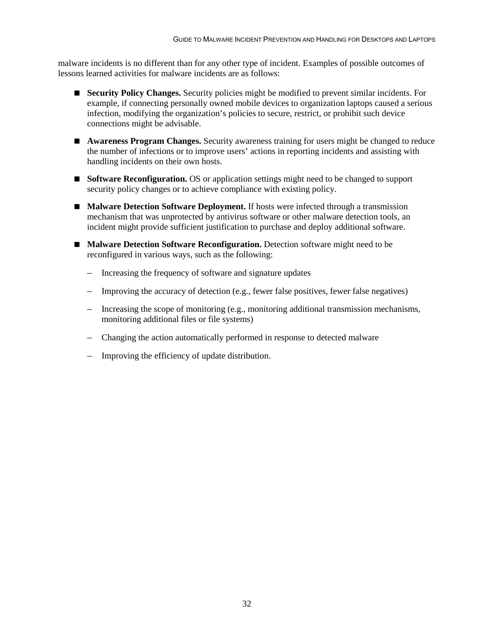malware incidents is no different than for any other type of incident. Examples of possible outcomes of lessons learned activities for malware incidents are as follows:

- **Security Policy Changes.** Security policies might be modified to prevent similar incidents. For example, if connecting personally owned mobile devices to organization laptops caused a serious infection, modifying the organization's policies to secure, restrict, or prohibit such device connections might be advisable.
- **Awareness Program Changes.** Security awareness training for users might be changed to reduce the number of infections or to improve users' actions in reporting incidents and assisting with handling incidents on their own hosts.
- **Software Reconfiguration.** OS or application settings might need to be changed to support security policy changes or to achieve compliance with existing policy.
- Malware Detection Software Deployment. If hosts were infected through a transmission mechanism that was unprotected by antivirus software or other malware detection tools, an incident might provide sufficient justification to purchase and deploy additional software.
- **Malware Detection Software Reconfiguration.** Detection software might need to be reconfigured in various ways, such as the following:
	- Increasing the frequency of software and signature updates
	- Improving the accuracy of detection (e.g., fewer false positives, fewer false negatives)
	- Increasing the scope of monitoring (e.g., monitoring additional transmission mechanisms, monitoring additional files or file systems)
	- Changing the action automatically performed in response to detected malware
	- Improving the efficiency of update distribution.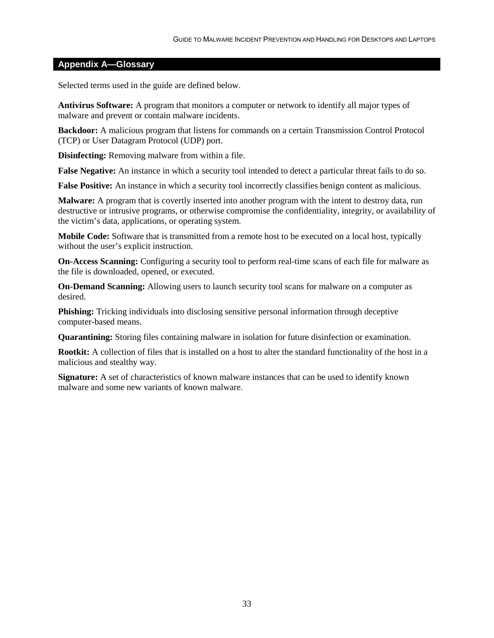#### <span id="page-43-0"></span>**Appendix A—Glossary**

Selected terms used in the guide are defined below.

**Antivirus Software:** A program that monitors a computer or network to identify all major types of malware and prevent or contain malware incidents.

**Backdoor:** A malicious program that listens for commands on a certain Transmission Control Protocol (TCP) or User Datagram Protocol (UDP) port.

**Disinfecting:** Removing malware from within a file.

**False Negative:** An instance in which a security tool intended to detect a particular threat fails to do so.

**False Positive:** An instance in which a security tool incorrectly classifies benign content as malicious.

**Malware:** A program that is covertly inserted into another program with the intent to destroy data, run destructive or intrusive programs, or otherwise compromise the confidentiality, integrity, or availability of the victim's data, applications, or operating system.

**Mobile Code:** Software that is transmitted from a remote host to be executed on a local host, typically without the user's explicit instruction.

**On-Access Scanning:** Configuring a security tool to perform real-time scans of each file for malware as the file is downloaded, opened, or executed.

**On-Demand Scanning:** Allowing users to launch security tool scans for malware on a computer as desired.

**Phishing:** Tricking individuals into disclosing sensitive personal information through deceptive computer-based means.

**Quarantining:** Storing files containing malware in isolation for future disinfection or examination.

**Rootkit:** A collection of files that is installed on a host to alter the standard functionality of the host in a malicious and stealthy way.

**Signature:** A set of characteristics of known malware instances that can be used to identify known malware and some new variants of known malware.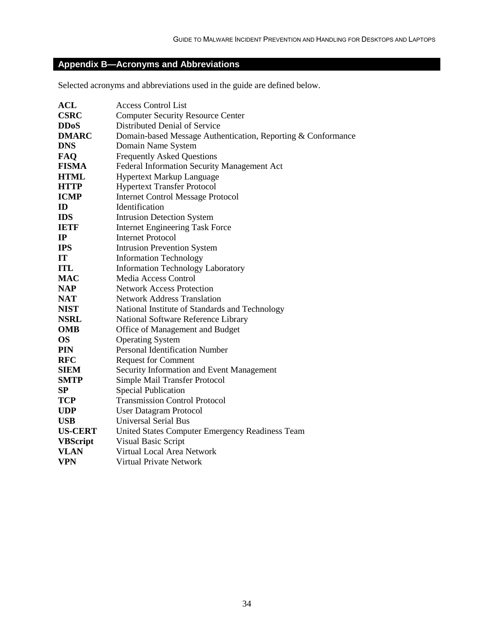# <span id="page-44-0"></span>**Appendix B—Acronyms and Abbreviations**

Selected acronyms and abbreviations used in the guide are defined below.

| ACL                  | <b>Access Control List</b>                                   |
|----------------------|--------------------------------------------------------------|
| <b>CSRC</b>          | <b>Computer Security Resource Center</b>                     |
| <b>DDoS</b>          | Distributed Denial of Service                                |
| <b>DMARC</b>         | Domain-based Message Authentication, Reporting & Conformance |
| <b>DNS</b>           | Domain Name System                                           |
| FAQ                  | <b>Frequently Asked Questions</b>                            |
| <b>FISMA</b>         | Federal Information Security Management Act                  |
| <b>HTML</b>          | Hypertext Markup Language                                    |
| <b>HTTP</b>          | <b>Hypertext Transfer Protocol</b>                           |
| <b>ICMP</b>          | <b>Internet Control Message Protocol</b>                     |
| ID<br>Identification |                                                              |
| <b>IDS</b>           | <b>Intrusion Detection System</b>                            |
| <b>IETF</b>          | <b>Internet Engineering Task Force</b>                       |
| IP                   | <b>Internet Protocol</b>                                     |
| <b>IPS</b>           | <b>Intrusion Prevention System</b>                           |
| <b>IT</b>            | <b>Information Technology</b>                                |
| <b>ITL</b>           | <b>Information Technology Laboratory</b>                     |
| <b>MAC</b>           | Media Access Control                                         |
| <b>NAP</b>           | <b>Network Access Protection</b>                             |
| <b>NAT</b>           | <b>Network Address Translation</b>                           |
| <b>NIST</b>          | National Institute of Standards and Technology               |
| <b>NSRL</b>          | National Software Reference Library                          |
| <b>OMB</b>           | Office of Management and Budget                              |
| <b>OS</b>            | <b>Operating System</b>                                      |
| <b>PIN</b>           | <b>Personal Identification Number</b>                        |
| <b>RFC</b>           | <b>Request for Comment</b>                                   |
| <b>SIEM</b>          | Security Information and Event Management                    |
| <b>SMTP</b>          | Simple Mail Transfer Protocol                                |
| SP                   | <b>Special Publication</b>                                   |
| <b>TCP</b>           | <b>Transmission Control Protocol</b>                         |
| <b>UDP</b>           | <b>User Datagram Protocol</b>                                |
| <b>USB</b>           | Universal Serial Bus                                         |
| <b>US-CERT</b>       | United States Computer Emergency Readiness Team              |
| <b>VBScript</b>      | <b>Visual Basic Script</b>                                   |
| <b>VLAN</b>          | Virtual Local Area Network                                   |
| <b>VPN</b>           | Virtual Private Network                                      |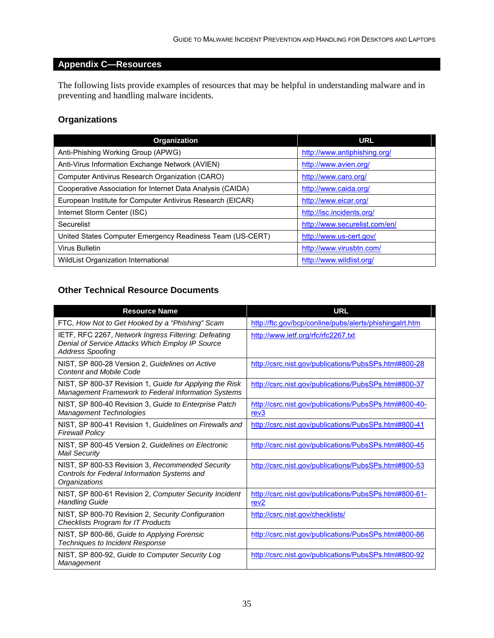## <span id="page-45-0"></span>**Appendix C—Resources**

The following lists provide examples of resources that may be helpful in understanding malware and in preventing and handling malware incidents.

#### **Organizations**

| Organization                                               | <b>URL</b>                    |
|------------------------------------------------------------|-------------------------------|
| Anti-Phishing Working Group (APWG)                         | http://www.antiphishing.org/  |
| Anti-Virus Information Exchange Network (AVIEN)            | http://www.avien.org/         |
| Computer Antivirus Research Organization (CARO)            | http://www.caro.org/          |
| Cooperative Association for Internet Data Analysis (CAIDA) | http://www.caida.org/         |
| European Institute for Computer Antivirus Research (EICAR) | http://www.eicar.org/         |
| Internet Storm Center (ISC)                                | http://isc.incidents.org/     |
| Securelist                                                 | http://www.securelist.com/en/ |
| United States Computer Emergency Readiness Team (US-CERT)  | http://www.us-cert.gov/       |
| Virus Bulletin                                             | http://www.virusbtn.com/      |
| WildList Organization International                        | http://www.wildlist.org/      |

#### **Other Technical Resource Documents**

| <b>Resource Name</b>                                                                                                                | <b>URL</b>                                                                 |
|-------------------------------------------------------------------------------------------------------------------------------------|----------------------------------------------------------------------------|
| FTC, How Not to Get Hooked by a "Phishing" Scam                                                                                     | http://ftc.gov/bcp/conline/pubs/alerts/phishingalrt.htm                    |
| IETF, RFC 2267, Network Ingress Filtering: Defeating<br>Denial of Service Attacks Which Employ IP Source<br><b>Address Spoofing</b> | http://www.ietf.org/rfc/rfc2267.txt                                        |
| NIST, SP 800-28 Version 2, Guidelines on Active<br><b>Content and Mobile Code</b>                                                   | http://csrc.nist.gov/publications/PubsSPs.html#800-28                      |
| NIST, SP 800-37 Revision 1, Guide for Applying the Risk<br><b>Management Framework to Federal Information Systems</b>               | http://csrc.nist.gov/publications/PubsSPs.html#800-37                      |
| NIST, SP 800-40 Revision 3, Guide to Enterprise Patch<br><b>Management Technologies</b>                                             | http://csrc.nist.gov/publications/PubsSPs.html#800-40-<br>rev <sub>3</sub> |
| NIST, SP 800-41 Revision 1, Guidelines on Firewalls and<br><b>Firewall Policy</b>                                                   | http://csrc.nist.gov/publications/PubsSPs.html#800-41                      |
| NIST, SP 800-45 Version 2, Guidelines on Electronic<br><b>Mail Security</b>                                                         | http://csrc.nist.gov/publications/PubsSPs.html#800-45                      |
| NIST, SP 800-53 Revision 3, Recommended Security<br>Controls for Federal Information Systems and<br>Organizations                   | http://csrc.nist.gov/publications/PubsSPs.html#800-53                      |
| NIST, SP 800-61 Revision 2, Computer Security Incident<br><b>Handling Guide</b>                                                     | http://csrc.nist.gov/publications/PubsSPs.html#800-61-<br>rev <sub>2</sub> |
| NIST, SP 800-70 Revision 2, Security Configuration<br><b>Checklists Program for IT Products</b>                                     | http://csrc.nist.gov/checklists/                                           |
| NIST, SP 800-86, Guide to Applying Forensic<br><b>Techniques to Incident Response</b>                                               | http://csrc.nist.gov/publications/PubsSPs.html#800-86                      |
| NIST, SP 800-92, Guide to Computer Security Log<br>Management                                                                       | http://csrc.nist.gov/publications/PubsSPs.html#800-92                      |